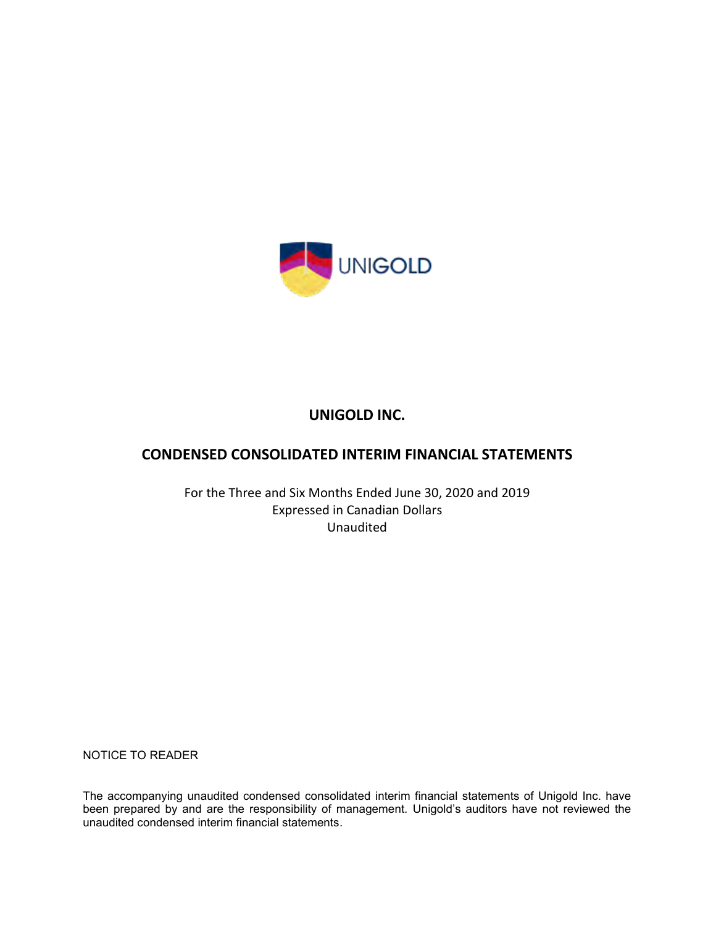

# **UNIGOLD INC.**

# **CONDENSED CONSOLIDATED INTERIM FINANCIAL STATEMENTS**

For the Three and Six Months Ended June 30, 2020 and 2019 Expressed in Canadian Dollars Unaudited

NOTICE TO READER

The accompanying unaudited condensed consolidated interim financial statements of Unigold Inc. have been prepared by and are the responsibility of management. Unigold's auditors have not reviewed the unaudited condensed interim financial statements.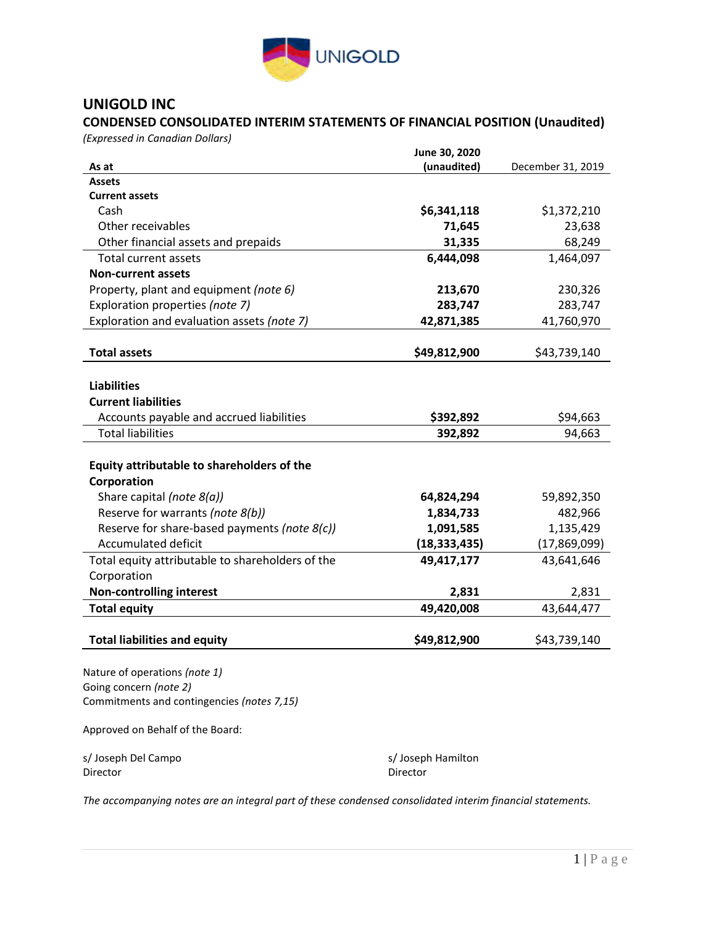

## **UNIGOLD INC**

### **CONDENSED CONSOLIDATED INTERIM STATEMENTS OF FINANCIAL POSITION (Unaudited)**

*(Expressed in Canadian Dollars)*

|                                                         | June 30, 2020  |                   |
|---------------------------------------------------------|----------------|-------------------|
| As at                                                   | (unaudited)    | December 31, 2019 |
| <b>Assets</b>                                           |                |                   |
| <b>Current assets</b>                                   |                |                   |
| Cash                                                    | \$6,341,118    | \$1,372,210       |
| Other receivables                                       | 71,645         | 23,638            |
| Other financial assets and prepaids                     | 31,335         | 68,249            |
| <b>Total current assets</b>                             | 6,444,098      | 1,464,097         |
| <b>Non-current assets</b>                               |                |                   |
| Property, plant and equipment (note 6)                  | 213,670        | 230,326           |
| Exploration properties (note 7)                         | 283,747        | 283,747           |
| Exploration and evaluation assets (note 7)              | 42,871,385     | 41,760,970        |
|                                                         |                |                   |
| <b>Total assets</b>                                     | \$49,812,900   | \$43,739,140      |
|                                                         |                |                   |
| <b>Liabilities</b>                                      |                |                   |
| <b>Current liabilities</b>                              |                |                   |
| Accounts payable and accrued liabilities                | \$392,892      | \$94,663          |
| <b>Total liabilities</b>                                | 392,892        | 94,663            |
|                                                         |                |                   |
| Equity attributable to shareholders of the              |                |                   |
| Corporation                                             |                |                   |
| Share capital (note 8(a))                               | 64,824,294     | 59,892,350        |
| Reserve for warrants (note 8(b))                        | 1,834,733      | 482,966           |
| Reserve for share-based payments (note 8(c))            | 1,091,585      | 1,135,429         |
| <b>Accumulated deficit</b>                              | (18, 333, 435) | (17,869,099)      |
| Total equity attributable to shareholders of the        | 49,417,177     | 43,641,646        |
| Corporation                                             |                |                   |
| <b>Non-controlling interest</b>                         | 2,831          | 2,831             |
| <b>Total equity</b>                                     | 49,420,008     | 43,644,477        |
|                                                         | \$49,812,900   | \$43,739,140      |
| <b>Total liabilities and equity</b>                     |                |                   |
|                                                         |                |                   |
| Nature of operations (note 1)<br>Going concern (note 2) |                |                   |
| Commitments and contingencies (notes 7,15)              |                |                   |
|                                                         |                |                   |

Approved on Behalf of the Board:

| s/Joseph Del Campo | s/Joseph Hamilton |
|--------------------|-------------------|
| Director           | Director          |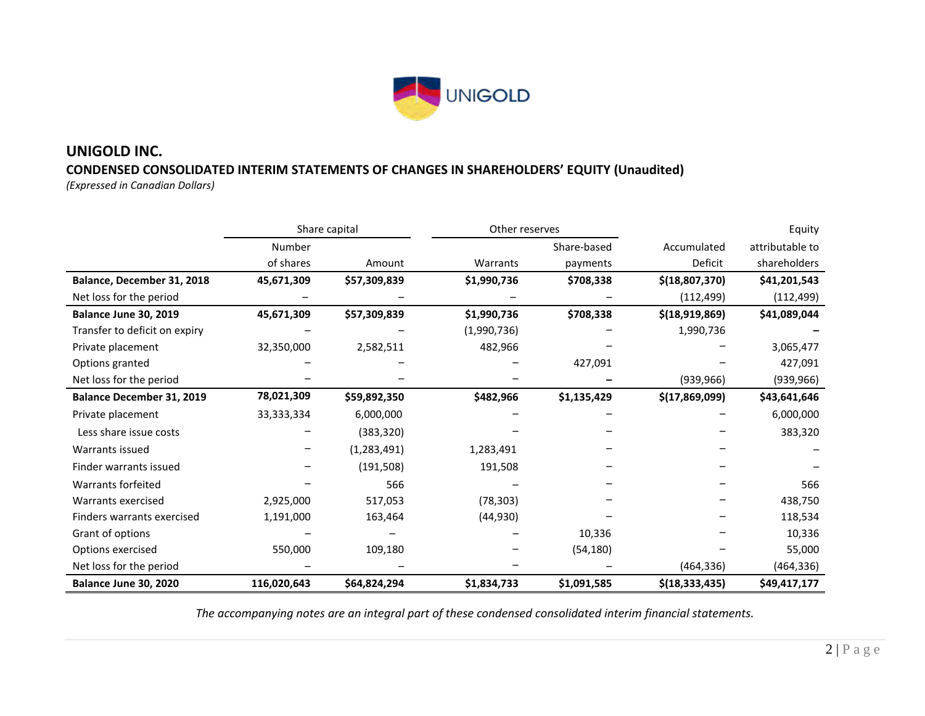

# **UNIGOLD INC. CONDENSED CONSOLIDATED INTERIM STATEMENTS OF CHANGES IN SHAREHOLDERS' EQUITY (Unaudited)**

*(Expressed in Canadian Dollars)*

|                                  |              | Share capital |             | Other reserves |                  | Equity          |
|----------------------------------|--------------|---------------|-------------|----------------|------------------|-----------------|
|                                  | Number       |               |             | Share-based    | Accumulated      | attributable to |
|                                  | of shares    | Amount        | Warrants    | payments       | Deficit          | shareholders    |
| Balance, December 31, 2018       | 45,671,309   | \$57,309,839  | \$1,990,736 | \$708,338      | \$(18,807,370)   | \$41,201,543    |
| Net loss for the period          |              |               |             |                | (112, 499)       | (112, 499)      |
| Balance June 30, 2019            | 45,671,309   | \$57,309,839  | \$1,990,736 | \$708,338      | \$(18,919,869)   | \$41,089,044    |
| Transfer to deficit on expiry    |              |               | (1,990,736) |                | 1,990,736        |                 |
| Private placement                | 32,350,000   | 2,582,511     | 482,966     |                |                  | 3,065,477       |
| Options granted                  |              |               |             | 427,091        |                  | 427,091         |
| Net loss for the period          |              |               |             |                | (939, 966)       | (939, 966)      |
| <b>Balance December 31, 2019</b> | 78,021,309   | \$59,892,350  | \$482,966   | \$1,135,429    | \$(17,869,099)   | \$43,641,646    |
| Private placement                | 33, 333, 334 | 6,000,000     |             |                |                  | 6,000,000       |
| Less share issue costs           |              | (383, 320)    |             |                |                  | 383,320         |
| Warrants issued                  |              | (1, 283, 491) | 1,283,491   |                |                  |                 |
| Finder warrants issued           |              | (191, 508)    | 191,508     |                |                  |                 |
| <b>Warrants forfeited</b>        |              | 566           |             |                |                  | 566             |
| Warrants exercised               | 2,925,000    | 517,053       | (78, 303)   |                |                  | 438,750         |
| Finders warrants exercised       | 1,191,000    | 163,464       | (44, 930)   |                |                  | 118,534         |
| Grant of options                 |              |               |             | 10,336         |                  | 10,336          |
| Options exercised                | 550,000      | 109,180       |             | (54, 180)      |                  | 55,000          |
| Net loss for the period          |              |               |             |                | (464, 336)       | (464, 336)      |
| Balance June 30, 2020            | 116,020,643  | \$64,824,294  | \$1,834,733 | \$1,091,585    | \$(18, 333, 435) | \$49,417,177    |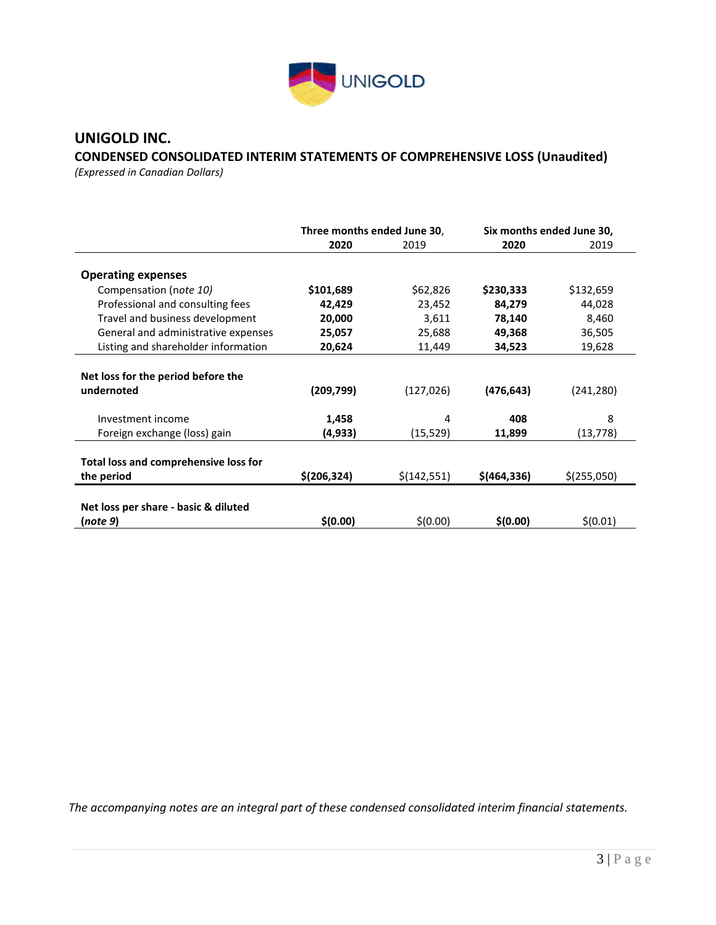

## **UNIGOLD INC.**

# **CONDENSED CONSOLIDATED INTERIM STATEMENTS OF COMPREHENSIVE LOSS (Unaudited)**

*(Expressed in Canadian Dollars)* 

|                                       | Three months ended June 30, |              | Six months ended June 30, |             |
|---------------------------------------|-----------------------------|--------------|---------------------------|-------------|
|                                       | 2020                        | 2019         | 2020                      | 2019        |
|                                       |                             |              |                           |             |
| <b>Operating expenses</b>             |                             |              |                           |             |
| Compensation (note 10)                | \$101,689                   | \$62,826     | \$230,333                 | \$132,659   |
| Professional and consulting fees      | 42,429                      | 23,452       | 84,279                    | 44,028      |
| Travel and business development       | 20,000                      | 3,611        | 78,140                    | 8,460       |
| General and administrative expenses   | 25,057                      | 25,688       | 49,368                    | 36,505      |
| Listing and shareholder information   | 20,624                      | 11,449       | 34,523                    | 19,628      |
|                                       |                             |              |                           |             |
| Net loss for the period before the    |                             |              |                           |             |
| undernoted                            | (209, 799)                  | (127, 026)   | (476, 643)                | (241, 280)  |
|                                       |                             |              |                           |             |
| Investment income                     | 1,458                       | 4            | 408                       | 8           |
| Foreign exchange (loss) gain          | (4,933)                     | (15,529)     | 11,899                    | (13,778)    |
|                                       |                             |              |                           |             |
| Total loss and comprehensive loss for |                             |              |                           |             |
| the period                            | \$(206, 324)                | \$(142, 551) | \$(464, 336)              | \$(255,050) |
|                                       |                             |              |                           |             |
| Net loss per share - basic & diluted  |                             |              |                           |             |
| (note 9)                              | \$(0.00)                    | \$(0.00)     | \$(0.00)                  | \$(0.01)    |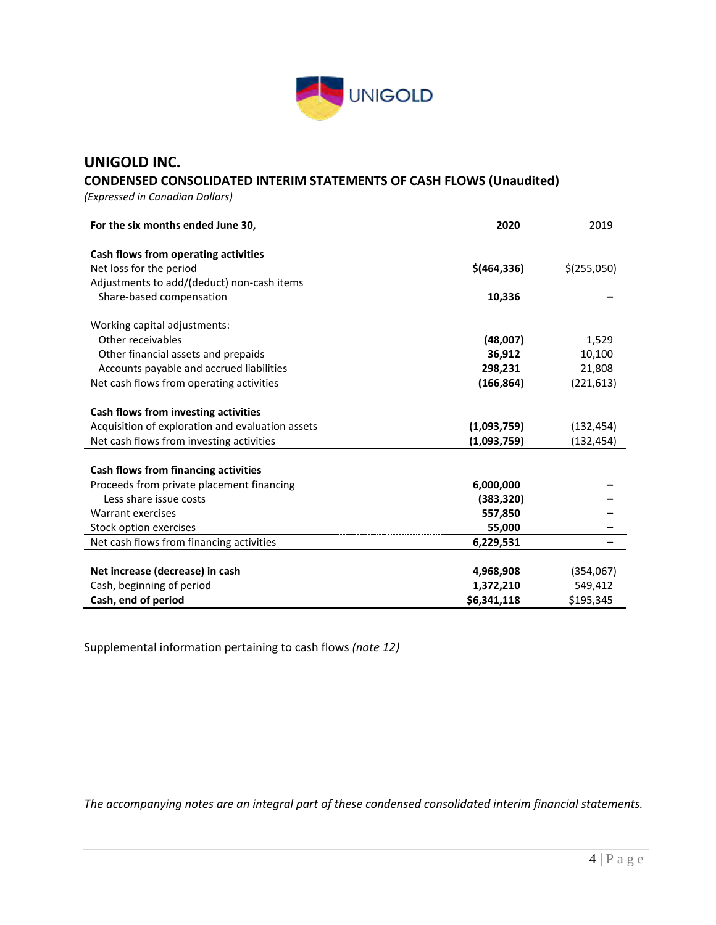

### **UNIGOLD INC.**

### **CONDENSED CONSOLIDATED INTERIM STATEMENTS OF CASH FLOWS (Unaudited)**

*(Expressed in Canadian Dollars)* 

| For the six months ended June 30,                | 2020         | 2019        |
|--------------------------------------------------|--------------|-------------|
|                                                  |              |             |
| Cash flows from operating activities             |              |             |
| Net loss for the period                          | \$(464, 336) | \$(255,050) |
| Adjustments to add/(deduct) non-cash items       |              |             |
| Share-based compensation                         | 10,336       |             |
| Working capital adjustments:                     |              |             |
| Other receivables                                | (48,007)     | 1,529       |
| Other financial assets and prepaids              | 36,912       | 10,100      |
| Accounts payable and accrued liabilities         | 298,231      | 21,808      |
| Net cash flows from operating activities         | (166, 864)   | (221, 613)  |
|                                                  |              |             |
| Cash flows from investing activities             |              |             |
| Acquisition of exploration and evaluation assets | (1,093,759)  | (132,454)   |
| Net cash flows from investing activities         | (1,093,759)  | (132,454)   |
|                                                  |              |             |
| Cash flows from financing activities             |              |             |
| Proceeds from private placement financing        | 6,000,000    |             |
| Less share issue costs                           | (383, 320)   |             |
| Warrant exercises                                | 557,850      |             |
| Stock option exercises                           | 55,000       |             |
| Net cash flows from financing activities         | 6,229,531    |             |
|                                                  |              |             |
| Net increase (decrease) in cash                  | 4,968,908    | (354,067)   |
| Cash, beginning of period                        | 1,372,210    | 549,412     |
| Cash, end of period                              | \$6,341,118  | \$195,345   |

Supplemental information pertaining to cash flows *(note 12)*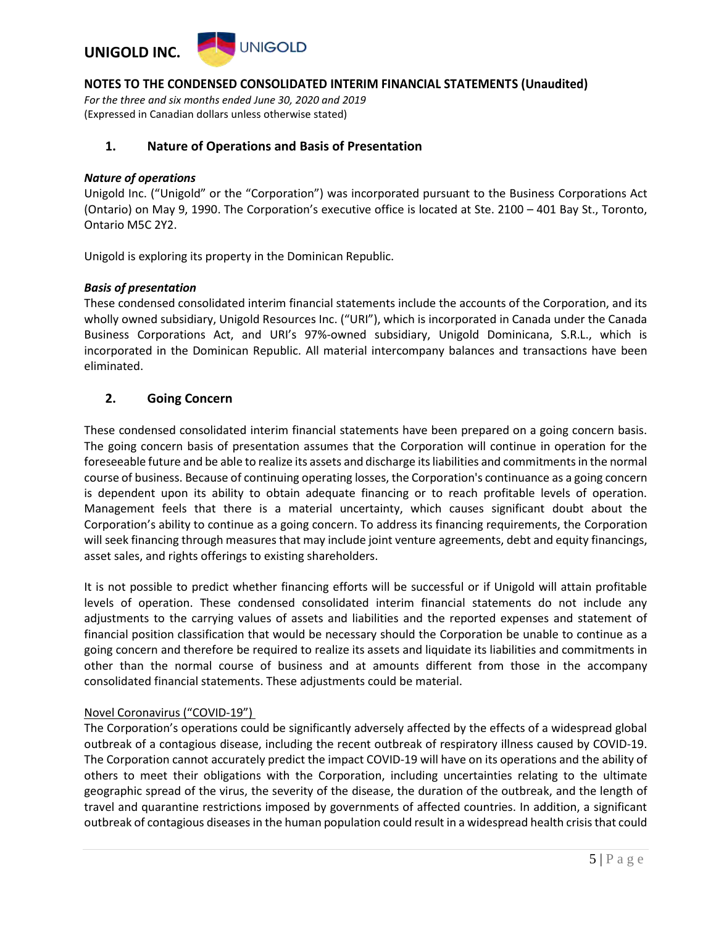

*For the three and six months ended June 30, 2020 and 2019* (Expressed in Canadian dollars unless otherwise stated)

### **1. Nature of Operations and Basis of Presentation**

#### *Nature of operations*

Unigold Inc. ("Unigold" or the "Corporation") was incorporated pursuant to the Business Corporations Act (Ontario) on May 9, 1990. The Corporation's executive office is located at Ste. 2100 – 401 Bay St., Toronto, Ontario M5C 2Y2.

Unigold is exploring its property in the Dominican Republic.

#### *Basis of presentation*

These condensed consolidated interim financial statements include the accounts of the Corporation, and its wholly owned subsidiary, Unigold Resources Inc. ("URI"), which is incorporated in Canada under the Canada Business Corporations Act, and URI's 97%-owned subsidiary, Unigold Dominicana, S.R.L., which is incorporated in the Dominican Republic. All material intercompany balances and transactions have been eliminated.

### **2. Going Concern**

These condensed consolidated interim financial statements have been prepared on a going concern basis. The going concern basis of presentation assumes that the Corporation will continue in operation for the foreseeable future and be able to realize its assets and discharge its liabilities and commitments in the normal course of business. Because of continuing operating losses, the Corporation's continuance as a going concern is dependent upon its ability to obtain adequate financing or to reach profitable levels of operation. Management feels that there is a material uncertainty, which causes significant doubt about the Corporation's ability to continue as a going concern. To address its financing requirements, the Corporation will seek financing through measures that may include joint venture agreements, debt and equity financings, asset sales, and rights offerings to existing shareholders.

It is not possible to predict whether financing efforts will be successful or if Unigold will attain profitable levels of operation. These condensed consolidated interim financial statements do not include any adjustments to the carrying values of assets and liabilities and the reported expenses and statement of financial position classification that would be necessary should the Corporation be unable to continue as a going concern and therefore be required to realize its assets and liquidate its liabilities and commitments in other than the normal course of business and at amounts different from those in the accompany consolidated financial statements. These adjustments could be material.

### Novel Coronavirus ("COVID-19")

The Corporation's operations could be significantly adversely affected by the effects of a widespread global outbreak of a contagious disease, including the recent outbreak of respiratory illness caused by COVID-19. The Corporation cannot accurately predict the impact COVID-19 will have on its operations and the ability of others to meet their obligations with the Corporation, including uncertainties relating to the ultimate geographic spread of the virus, the severity of the disease, the duration of the outbreak, and the length of travel and quarantine restrictions imposed by governments of affected countries. In addition, a significant outbreak of contagious diseases in the human population could result in a widespread health crisis that could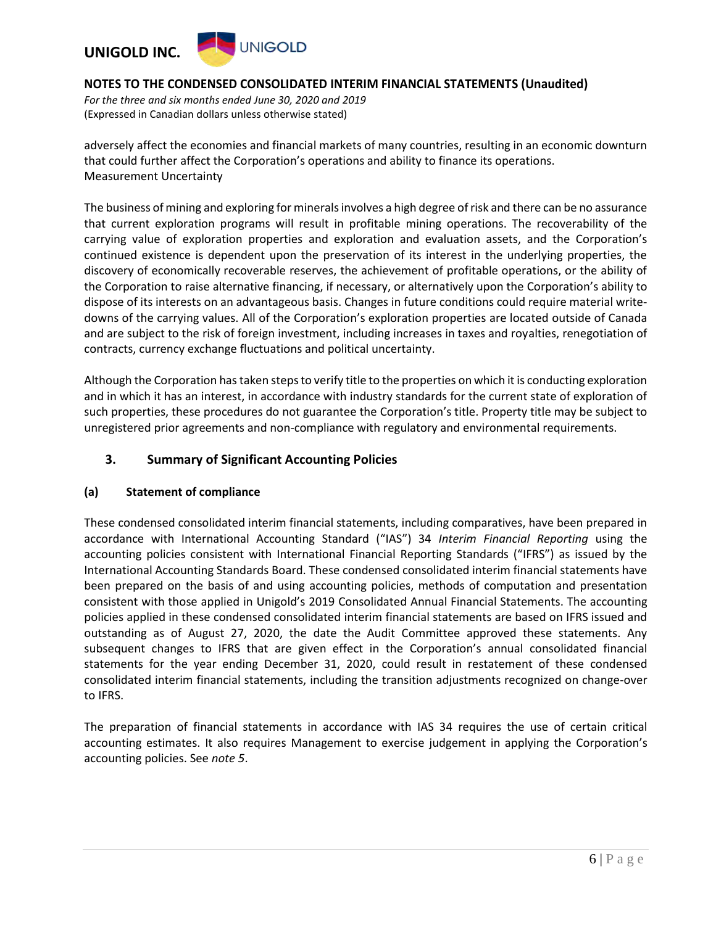#### **UNIGOLD UNIGOLD INC.**

### **NOTES TO THE CONDENSED CONSOLIDATED INTERIM FINANCIAL STATEMENTS (Unaudited)**

*For the three and six months ended June 30, 2020 and 2019* (Expressed in Canadian dollars unless otherwise stated)

adversely affect the economies and financial markets of many countries, resulting in an economic downturn that could further affect the Corporation's operations and ability to finance its operations. Measurement Uncertainty

The business of mining and exploring for minerals involves a high degree of risk and there can be no assurance that current exploration programs will result in profitable mining operations. The recoverability of the carrying value of exploration properties and exploration and evaluation assets, and the Corporation's continued existence is dependent upon the preservation of its interest in the underlying properties, the discovery of economically recoverable reserves, the achievement of profitable operations, or the ability of the Corporation to raise alternative financing, if necessary, or alternatively upon the Corporation's ability to dispose of its interests on an advantageous basis. Changes in future conditions could require material writedowns of the carrying values. All of the Corporation's exploration properties are located outside of Canada and are subject to the risk of foreign investment, including increases in taxes and royalties, renegotiation of contracts, currency exchange fluctuations and political uncertainty.

Although the Corporation has taken steps to verify title to the properties on which it is conducting exploration and in which it has an interest, in accordance with industry standards for the current state of exploration of such properties, these procedures do not guarantee the Corporation's title. Property title may be subject to unregistered prior agreements and non-compliance with regulatory and environmental requirements.

### **3. Summary of Significant Accounting Policies**

### **(a) Statement of compliance**

These condensed consolidated interim financial statements, including comparatives, have been prepared in accordance with International Accounting Standard ("IAS") 34 *Interim Financial Reporting* using the accounting policies consistent with International Financial Reporting Standards ("IFRS") as issued by the International Accounting Standards Board. These condensed consolidated interim financial statements have been prepared on the basis of and using accounting policies, methods of computation and presentation consistent with those applied in Unigold's 2019 Consolidated Annual Financial Statements. The accounting policies applied in these condensed consolidated interim financial statements are based on IFRS issued and outstanding as of August 27, 2020, the date the Audit Committee approved these statements. Any subsequent changes to IFRS that are given effect in the Corporation's annual consolidated financial statements for the year ending December 31, 2020, could result in restatement of these condensed consolidated interim financial statements, including the transition adjustments recognized on change-over to IFRS.

The preparation of financial statements in accordance with IAS 34 requires the use of certain critical accounting estimates. It also requires Management to exercise judgement in applying the Corporation's accounting policies. See *note 5*.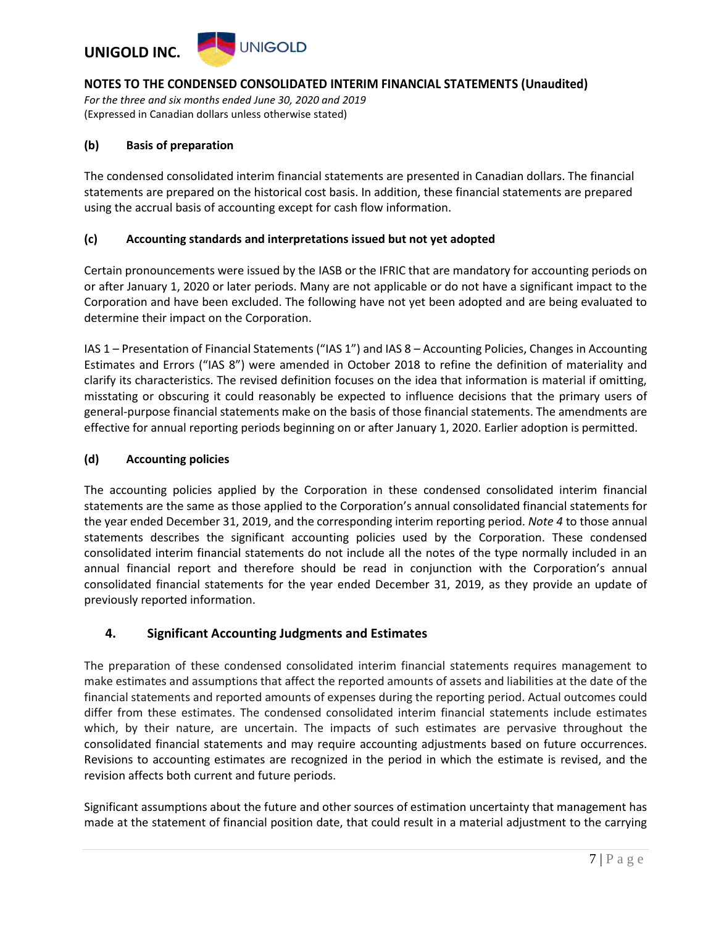

*For the three and six months ended June 30, 2020 and 2019* (Expressed in Canadian dollars unless otherwise stated)

#### **(b) Basis of preparation**

The condensed consolidated interim financial statements are presented in Canadian dollars. The financial statements are prepared on the historical cost basis. In addition, these financial statements are prepared using the accrual basis of accounting except for cash flow information.

#### **(c) Accounting standards and interpretations issued but not yet adopted**

Certain pronouncements were issued by the IASB or the IFRIC that are mandatory for accounting periods on or after January 1, 2020 or later periods. Many are not applicable or do not have a significant impact to the Corporation and have been excluded. The following have not yet been adopted and are being evaluated to determine their impact on the Corporation.

IAS 1 – Presentation of Financial Statements ("IAS 1") and IAS 8 – Accounting Policies, Changes in Accounting Estimates and Errors ("IAS 8") were amended in October 2018 to refine the definition of materiality and clarify its characteristics. The revised definition focuses on the idea that information is material if omitting, misstating or obscuring it could reasonably be expected to influence decisions that the primary users of general-purpose financial statements make on the basis of those financial statements. The amendments are effective for annual reporting periods beginning on or after January 1, 2020. Earlier adoption is permitted.

#### **(d) Accounting policies**

The accounting policies applied by the Corporation in these condensed consolidated interim financial statements are the same as those applied to the Corporation's annual consolidated financial statements for the year ended December 31, 2019, and the corresponding interim reporting period. *Note 4* to those annual statements describes the significant accounting policies used by the Corporation. These condensed consolidated interim financial statements do not include all the notes of the type normally included in an annual financial report and therefore should be read in conjunction with the Corporation's annual consolidated financial statements for the year ended December 31, 2019, as they provide an update of previously reported information.

### **4. Significant Accounting Judgments and Estimates**

The preparation of these condensed consolidated interim financial statements requires management to make estimates and assumptions that affect the reported amounts of assets and liabilities at the date of the financial statements and reported amounts of expenses during the reporting period. Actual outcomes could differ from these estimates. The condensed consolidated interim financial statements include estimates which, by their nature, are uncertain. The impacts of such estimates are pervasive throughout the consolidated financial statements and may require accounting adjustments based on future occurrences. Revisions to accounting estimates are recognized in the period in which the estimate is revised, and the revision affects both current and future periods.

Significant assumptions about the future and other sources of estimation uncertainty that management has made at the statement of financial position date, that could result in a material adjustment to the carrying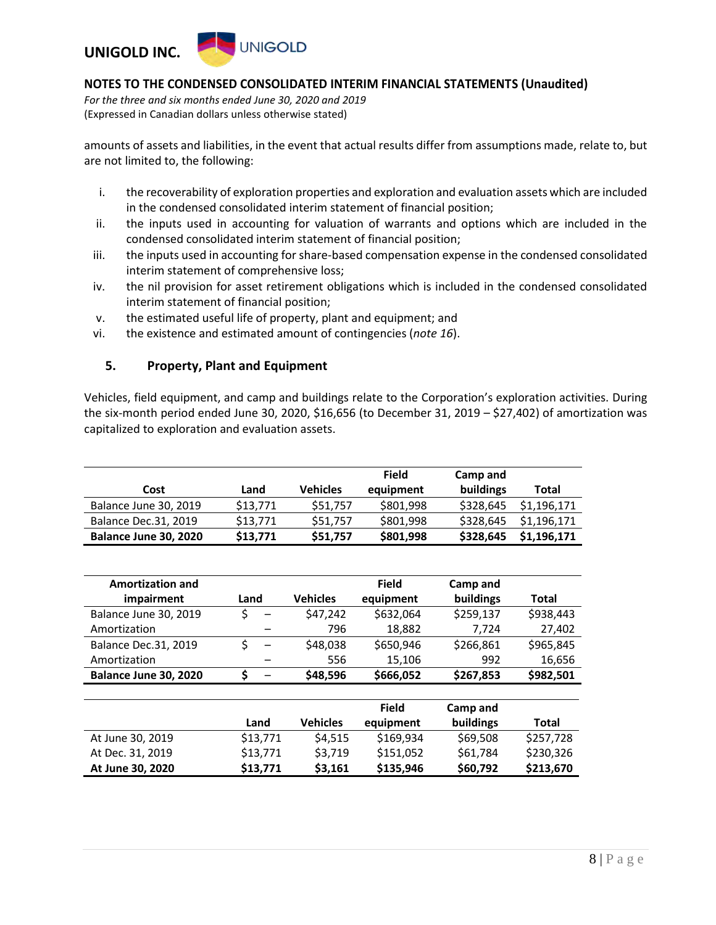

*For the three and six months ended June 30, 2020 and 2019* (Expressed in Canadian dollars unless otherwise stated)

amounts of assets and liabilities, in the event that actual results differ from assumptions made, relate to, but are not limited to, the following:

- i. the recoverability of exploration properties and exploration and evaluation assets which are included in the condensed consolidated interim statement of financial position;
- ii. the inputs used in accounting for valuation of warrants and options which are included in the condensed consolidated interim statement of financial position;
- iii. the inputs used in accounting for share-based compensation expense in the condensed consolidated interim statement of comprehensive loss;
- iv. the nil provision for asset retirement obligations which is included in the condensed consolidated interim statement of financial position;
- v. the estimated useful life of property, plant and equipment; and
- vi. the existence and estimated amount of contingencies (*note 16*).

### **5. Property, Plant and Equipment**

Vehicles, field equipment, and camp and buildings relate to the Corporation's exploration activities. During the six-month period ended June 30, 2020, \$16,656 (to December 31, 2019 – \$27,402) of amortization was capitalized to exploration and evaluation assets.

| Cost                        | Land     | <b>Vehicles</b> | Field<br>equipment | Camp and<br>buildings | Total       |
|-----------------------------|----------|-----------------|--------------------|-----------------------|-------------|
| Balance June 30, 2019       | \$13.771 | \$51,757        | \$801.998          | \$328,645             | \$1,196,171 |
| <b>Balance Dec.31, 2019</b> | \$13.771 | \$51,757        | \$801.998          | \$328,645             | \$1,196,171 |
| Balance June 30, 2020       | \$13,771 | \$51,757        | \$801,998          | \$328,645             | \$1,196,171 |

| <b>Amortization and</b>     |      |                 |                 | <b>Field</b> | Camp and  |           |
|-----------------------------|------|-----------------|-----------------|--------------|-----------|-----------|
| impairment                  | Land |                 | <b>Vehicles</b> | equipment    | buildings | Total     |
| Balance June 30, 2019       |      | $\qquad \qquad$ | \$47,242        | \$632,064    | \$259,137 | \$938,443 |
| Amortization                |      |                 | 796             | 18,882       | 7.724     | 27,402    |
| <b>Balance Dec.31, 2019</b> |      |                 | \$48,038        | \$650,946    | \$266,861 | \$965,845 |
| Amortization                |      |                 | 556             | 15,106       | 992       | 16,656    |
| Balance June 30, 2020       |      |                 | \$48,596        | \$666,052    | \$267,853 | \$982,501 |

|                  | Land     | <b>Vehicles</b> | <b>Field</b><br>equipment | Camp and<br>buildings | Total     |
|------------------|----------|-----------------|---------------------------|-----------------------|-----------|
| At June 30, 2019 | \$13,771 | \$4.515         | \$169,934                 | \$69,508              | \$257,728 |
| At Dec. 31, 2019 | \$13,771 | \$3,719         | \$151,052                 | \$61,784              | \$230,326 |
| At June 30, 2020 | \$13,771 | \$3,161         | \$135,946                 | \$60,792              | \$213,670 |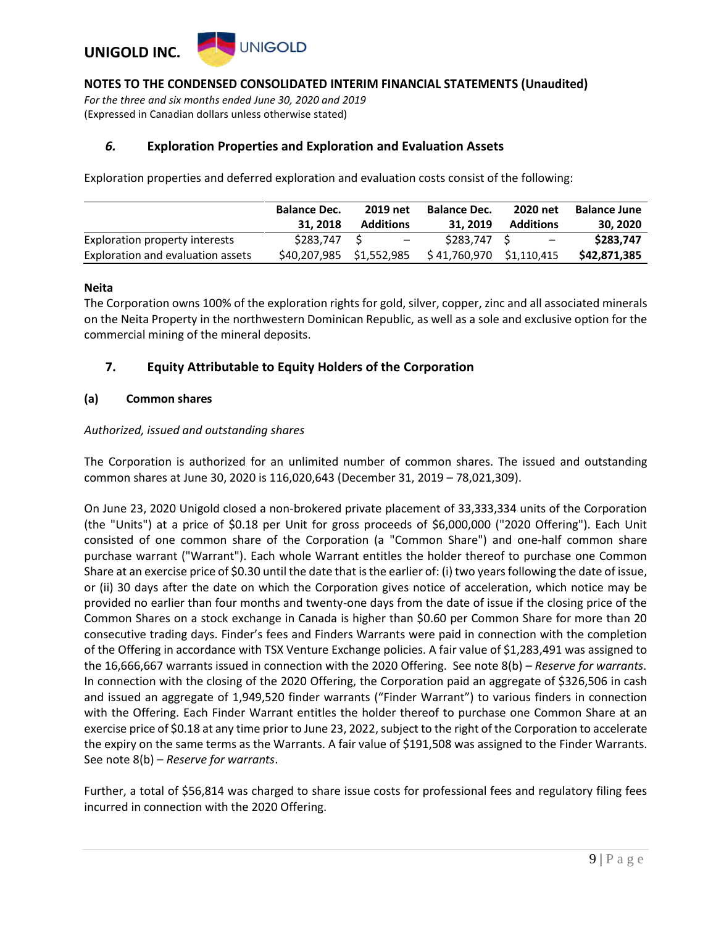

*For the three and six months ended June 30, 2020 and 2019* (Expressed in Canadian dollars unless otherwise stated)

### *6.* **Exploration Properties and Exploration and Evaluation Assets**

Exploration properties and deferred exploration and evaluation costs consist of the following:

|                                   | <b>Balance Dec.</b>      | 2019 net         | <b>Balance Dec.</b>      | 2020 net                 | <b>Balance June</b> |
|-----------------------------------|--------------------------|------------------|--------------------------|--------------------------|---------------------|
|                                   | 31, 2018                 | <b>Additions</b> | 31, 2019                 | <b>Additions</b>         | 30, 2020            |
| Exploration property interests    | \$283,747 \$             | $-$              | \$283.747 \$             | $\overline{\phantom{a}}$ | \$283,747           |
| Exploration and evaluation assets | \$40,207,985 \$1,552,985 |                  | \$41,760,970 \$1,110,415 |                          | \$42,871,385        |

#### **Neita**

The Corporation owns 100% of the exploration rights for gold, silver, copper, zinc and all associated minerals on the Neita Property in the northwestern Dominican Republic, as well as a sole and exclusive option for the commercial mining of the mineral deposits.

### **7. Equity Attributable to Equity Holders of the Corporation**

#### **(a) Common shares**

#### *Authorized, issued and outstanding shares*

The Corporation is authorized for an unlimited number of common shares. The issued and outstanding common shares at June 30, 2020 is 116,020,643 (December 31, 2019 – 78,021,309).

On June 23, 2020 Unigold closed a non-brokered private placement of 33,333,334 units of the Corporation (the "Units") at a price of \$0.18 per Unit for gross proceeds of \$6,000,000 ("2020 Offering"). Each Unit consisted of one common share of the Corporation (a "Common Share") and one-half common share purchase warrant ("Warrant"). Each whole Warrant entitles the holder thereof to purchase one Common Share at an exercise price of \$0.30 until the date that is the earlier of: (i) two years following the date of issue, or (ii) 30 days after the date on which the Corporation gives notice of acceleration, which notice may be provided no earlier than four months and twenty-one days from the date of issue if the closing price of the Common Shares on a stock exchange in Canada is higher than \$0.60 per Common Share for more than 20 consecutive trading days. Finder's fees and Finders Warrants were paid in connection with the completion of the Offering in accordance with TSX Venture Exchange policies. A fair value of \$1,283,491 was assigned to the 16,666,667 warrants issued in connection with the 2020 Offering. See note 8(b) – *Reserve for warrants*. In connection with the closing of the 2020 Offering, the Corporation paid an aggregate of \$326,506 in cash and issued an aggregate of 1,949,520 finder warrants ("Finder Warrant") to various finders in connection with the Offering. Each Finder Warrant entitles the holder thereof to purchase one Common Share at an exercise price of \$0.18 at any time prior to June 23, 2022, subject to the right of the Corporation to accelerate the expiry on the same terms as the Warrants. A fair value of \$191,508 was assigned to the Finder Warrants. See note 8(b) – *Reserve for warrants*.

Further, a total of \$56,814 was charged to share issue costs for professional fees and regulatory filing fees incurred in connection with the 2020 Offering.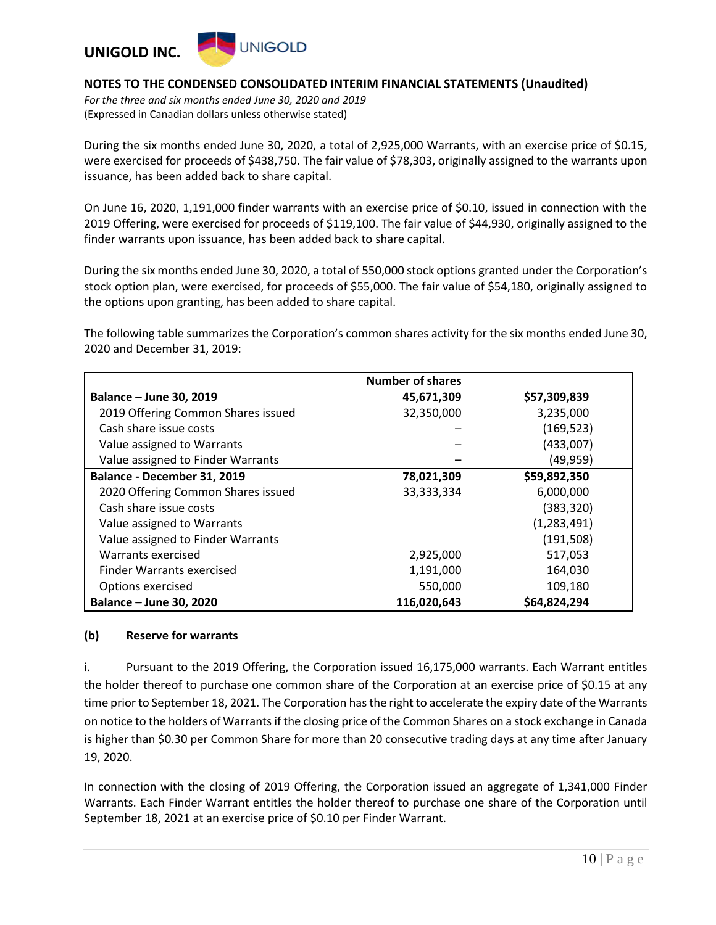

*For the three and six months ended June 30, 2020 and 2019* (Expressed in Canadian dollars unless otherwise stated)

During the six months ended June 30, 2020, a total of 2,925,000 Warrants, with an exercise price of \$0.15, were exercised for proceeds of \$438,750. The fair value of \$78,303, originally assigned to the warrants upon issuance, has been added back to share capital.

On June 16, 2020, 1,191,000 finder warrants with an exercise price of \$0.10, issued in connection with the 2019 Offering, were exercised for proceeds of \$119,100. The fair value of \$44,930, originally assigned to the finder warrants upon issuance, has been added back to share capital.

During the six months ended June 30, 2020, a total of 550,000 stock options granted under the Corporation's stock option plan, were exercised, for proceeds of \$55,000. The fair value of \$54,180, originally assigned to the options upon granting, has been added to share capital.

The following table summarizes the Corporation's common shares activity for the six months ended June 30, 2020 and December 31, 2019:

|                                    | <b>Number of shares</b> |              |
|------------------------------------|-------------------------|--------------|
| Balance - June 30, 2019            | 45,671,309              | \$57,309,839 |
| 2019 Offering Common Shares issued | 32,350,000              | 3,235,000    |
| Cash share issue costs             |                         | (169, 523)   |
| Value assigned to Warrants         |                         | (433,007)    |
| Value assigned to Finder Warrants  |                         | (49, 959)    |
| Balance - December 31, 2019        | 78,021,309              | \$59,892,350 |
| 2020 Offering Common Shares issued | 33,333,334              | 6,000,000    |
| Cash share issue costs             |                         | (383, 320)   |
| Value assigned to Warrants         |                         | (1,283,491)  |
| Value assigned to Finder Warrants  |                         | (191, 508)   |
| Warrants exercised                 | 2,925,000               | 517,053      |
| <b>Finder Warrants exercised</b>   | 1,191,000               | 164,030      |
| Options exercised                  | 550,000                 | 109,180      |
| <b>Balance - June 30, 2020</b>     | 116,020,643             | \$64,824,294 |

### **(b) Reserve for warrants**

i. Pursuant to the 2019 Offering, the Corporation issued 16,175,000 warrants. Each Warrant entitles the holder thereof to purchase one common share of the Corporation at an exercise price of \$0.15 at any time prior to September 18, 2021. The Corporation has the right to accelerate the expiry date of the Warrants on notice to the holders of Warrants if the closing price of the Common Shares on a stock exchange in Canada is higher than \$0.30 per Common Share for more than 20 consecutive trading days at any time after January 19, 2020.

In connection with the closing of 2019 Offering, the Corporation issued an aggregate of 1,341,000 Finder Warrants. Each Finder Warrant entitles the holder thereof to purchase one share of the Corporation until September 18, 2021 at an exercise price of \$0.10 per Finder Warrant.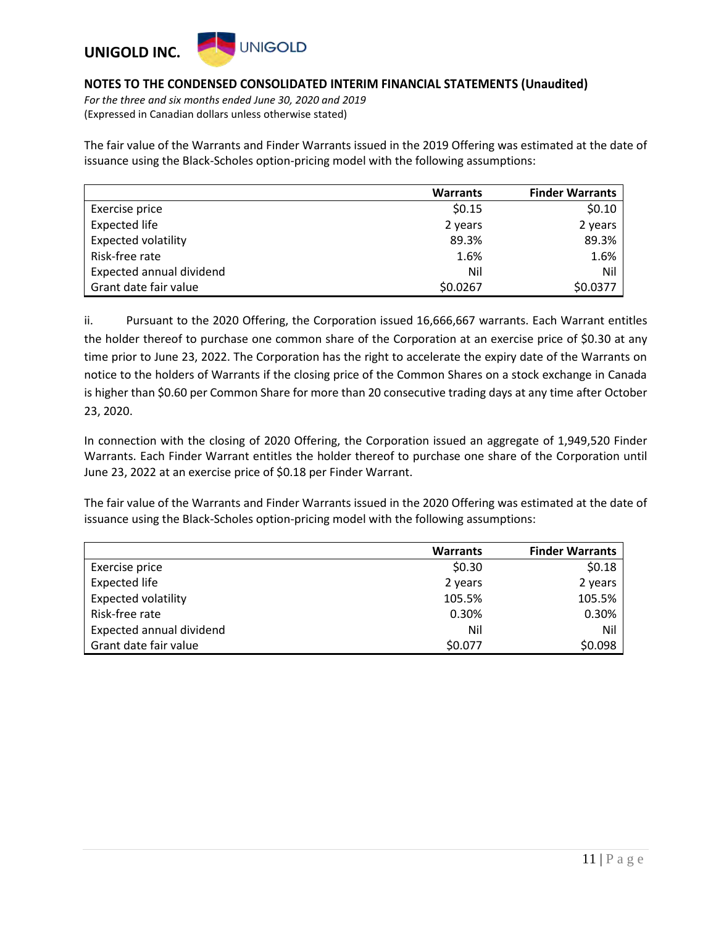

*For the three and six months ended June 30, 2020 and 2019* (Expressed in Canadian dollars unless otherwise stated)

The fair value of the Warrants and Finder Warrants issued in the 2019 Offering was estimated at the date of issuance using the Black-Scholes option-pricing model with the following assumptions:

|                            | <b>Warrants</b> | <b>Finder Warrants</b> |
|----------------------------|-----------------|------------------------|
| Exercise price             | \$0.15          | \$0.10                 |
| <b>Expected life</b>       | 2 years         | 2 years                |
| <b>Expected volatility</b> | 89.3%           | 89.3%                  |
| Risk-free rate             | 1.6%            | 1.6%                   |
| Expected annual dividend   | Nil             | Nil                    |
| Grant date fair value      | \$0.0267        | \$0.0377               |

ii. Pursuant to the 2020 Offering, the Corporation issued 16,666,667 warrants. Each Warrant entitles the holder thereof to purchase one common share of the Corporation at an exercise price of \$0.30 at any time prior to June 23, 2022. The Corporation has the right to accelerate the expiry date of the Warrants on notice to the holders of Warrants if the closing price of the Common Shares on a stock exchange in Canada is higher than \$0.60 per Common Share for more than 20 consecutive trading days at any time after October 23, 2020.

In connection with the closing of 2020 Offering, the Corporation issued an aggregate of 1,949,520 Finder Warrants. Each Finder Warrant entitles the holder thereof to purchase one share of the Corporation until June 23, 2022 at an exercise price of \$0.18 per Finder Warrant.

The fair value of the Warrants and Finder Warrants issued in the 2020 Offering was estimated at the date of issuance using the Black-Scholes option-pricing model with the following assumptions:

|                            | <b>Warrants</b> | <b>Finder Warrants</b> |
|----------------------------|-----------------|------------------------|
| Exercise price             | \$0.30          | \$0.18                 |
| <b>Expected life</b>       | 2 years         | 2 years                |
| <b>Expected volatility</b> | 105.5%          | 105.5%                 |
| Risk-free rate             | 0.30%           | 0.30%                  |
| Expected annual dividend   | Nil             | Nil                    |
| Grant date fair value      | \$0.077         | \$0.098                |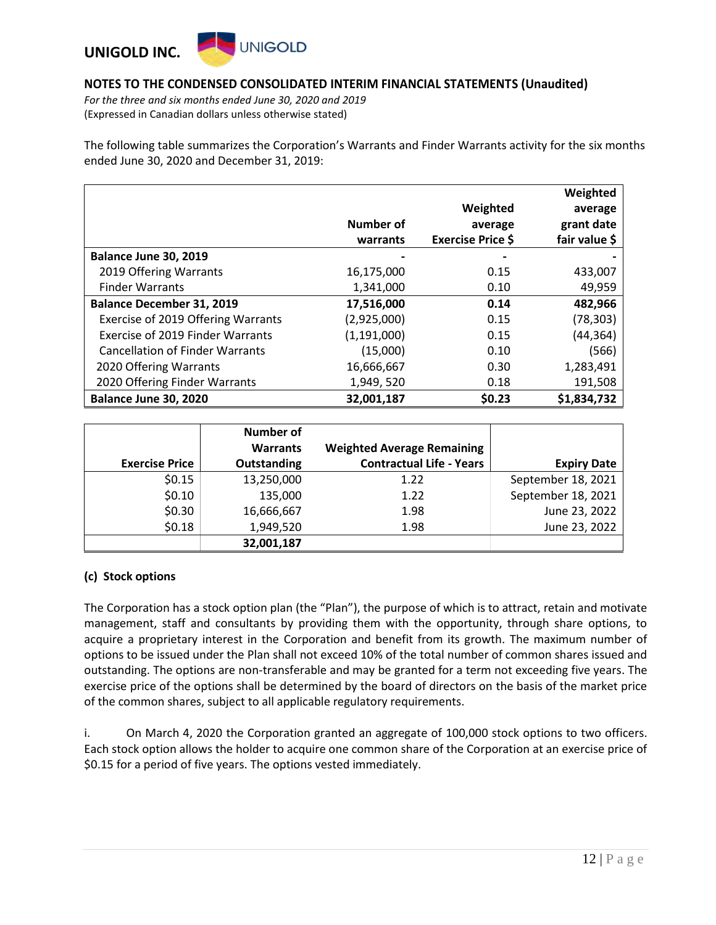### **UNIGOLD UNIGOLD INC.**

### **NOTES TO THE CONDENSED CONSOLIDATED INTERIM FINANCIAL STATEMENTS (Unaudited)**

*For the three and six months ended June 30, 2020 and 2019* (Expressed in Canadian dollars unless otherwise stated)

The following table summarizes the Corporation's Warrants and Finder Warrants activity for the six months ended June 30, 2020 and December 31, 2019:

|                                        |               |                          | Weighted      |
|----------------------------------------|---------------|--------------------------|---------------|
|                                        |               | Weighted                 | average       |
|                                        | Number of     | average                  | grant date    |
|                                        | warrants      | <b>Exercise Price \$</b> | fair value \$ |
| Balance June 30, 2019                  |               |                          |               |
| 2019 Offering Warrants                 | 16,175,000    | 0.15                     | 433,007       |
| <b>Finder Warrants</b>                 | 1,341,000     | 0.10                     | 49,959        |
| <b>Balance December 31, 2019</b>       | 17,516,000    | 0.14                     | 482,966       |
| Exercise of 2019 Offering Warrants     | (2,925,000)   | 0.15                     | (78, 303)     |
| Exercise of 2019 Finder Warrants       | (1, 191, 000) | 0.15                     | (44, 364)     |
| <b>Cancellation of Finder Warrants</b> | (15,000)      | 0.10                     | (566)         |
| 2020 Offering Warrants                 | 16,666,667    | 0.30                     | 1,283,491     |
| 2020 Offering Finder Warrants          | 1,949, 520    | 0.18                     | 191,508       |
| Balance June 30, 2020                  | 32,001,187    | \$0.23                   | \$1,834,732   |

|                       | <b>Number of</b><br><b>Warrants</b> | <b>Weighted Average Remaining</b> |                    |
|-----------------------|-------------------------------------|-----------------------------------|--------------------|
| <b>Exercise Price</b> | Outstanding                         | <b>Contractual Life - Years</b>   | <b>Expiry Date</b> |
| \$0.15                | 13,250,000                          | 1.22                              | September 18, 2021 |
| \$0.10                | 135,000                             | 1.22                              | September 18, 2021 |
| \$0.30                | 16,666,667                          | 1.98                              | June 23, 2022      |
| \$0.18                | 1,949,520                           | 1.98                              | June 23, 2022      |
|                       | 32,001,187                          |                                   |                    |

### **(c) Stock options**

The Corporation has a stock option plan (the "Plan"), the purpose of which is to attract, retain and motivate management, staff and consultants by providing them with the opportunity, through share options, to acquire a proprietary interest in the Corporation and benefit from its growth. The maximum number of options to be issued under the Plan shall not exceed 10% of the total number of common shares issued and outstanding. The options are non-transferable and may be granted for a term not exceeding five years. The exercise price of the options shall be determined by the board of directors on the basis of the market price of the common shares, subject to all applicable regulatory requirements.

i. On March 4, 2020 the Corporation granted an aggregate of 100,000 stock options to two officers. Each stock option allows the holder to acquire one common share of the Corporation at an exercise price of \$0.15 for a period of five years. The options vested immediately.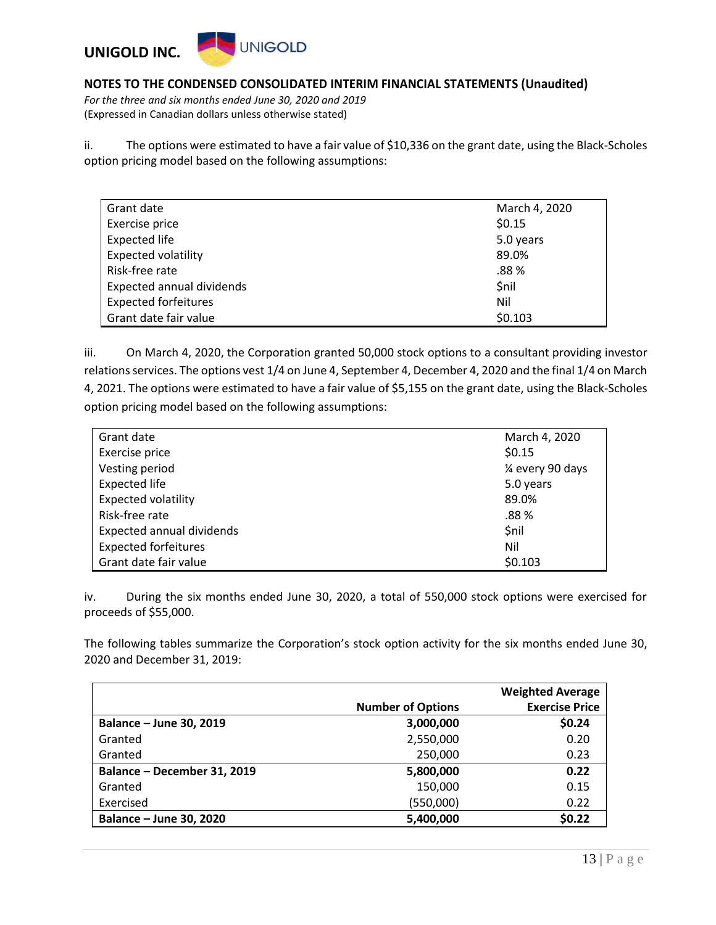

*For the three and six months ended June 30, 2020 and 2019* (Expressed in Canadian dollars unless otherwise stated)

ii. The options were estimated to have a fair value of \$10,336 on the grant date, using the Black-Scholes option pricing model based on the following assumptions:

| Grant date                  | March 4, 2020 |
|-----------------------------|---------------|
| Exercise price              | \$0.15        |
| <b>Expected life</b>        | 5.0 years     |
| <b>Expected volatility</b>  | 89.0%         |
| Risk-free rate              | .88%          |
| Expected annual dividends   | \$nil         |
| <b>Expected forfeitures</b> | Nil           |
| Grant date fair value       | \$0.103       |

iii. On March 4, 2020, the Corporation granted 50,000 stock options to a consultant providing investor relations services. The options vest 1/4 on June 4, September 4, December 4, 2020 and the final 1/4 on March 4, 2021. The options were estimated to have a fair value of \$5,155 on the grant date, using the Black-Scholes option pricing model based on the following assumptions:

| Grant date                       | March 4, 2020     |
|----------------------------------|-------------------|
| Exercise price                   | \$0.15            |
| Vesting period                   | 1⁄4 every 90 days |
| <b>Expected life</b>             | 5.0 years         |
| <b>Expected volatility</b>       | 89.0%             |
| Risk-free rate                   | .88%              |
| <b>Expected annual dividends</b> | \$nil             |
| <b>Expected forfeitures</b>      | Nil               |
| Grant date fair value            | \$0.103           |

iv. During the six months ended June 30, 2020, a total of 550,000 stock options were exercised for proceeds of \$55,000.

The following tables summarize the Corporation's stock option activity for the six months ended June 30, 2020 and December 31, 2019:

|                             |                          | <b>Weighted Average</b> |
|-----------------------------|--------------------------|-------------------------|
|                             | <b>Number of Options</b> | <b>Exercise Price</b>   |
| Balance - June 30, 2019     | 3,000,000                | \$0.24                  |
| Granted                     | 2,550,000                | 0.20                    |
| Granted                     | 250,000                  | 0.23                    |
| Balance - December 31, 2019 | 5,800,000                | 0.22                    |
| Granted                     | 150,000                  | 0.15                    |
| Exercised                   | (550,000)                | 0.22                    |
| Balance - June 30, 2020     | 5,400,000                | \$0.22                  |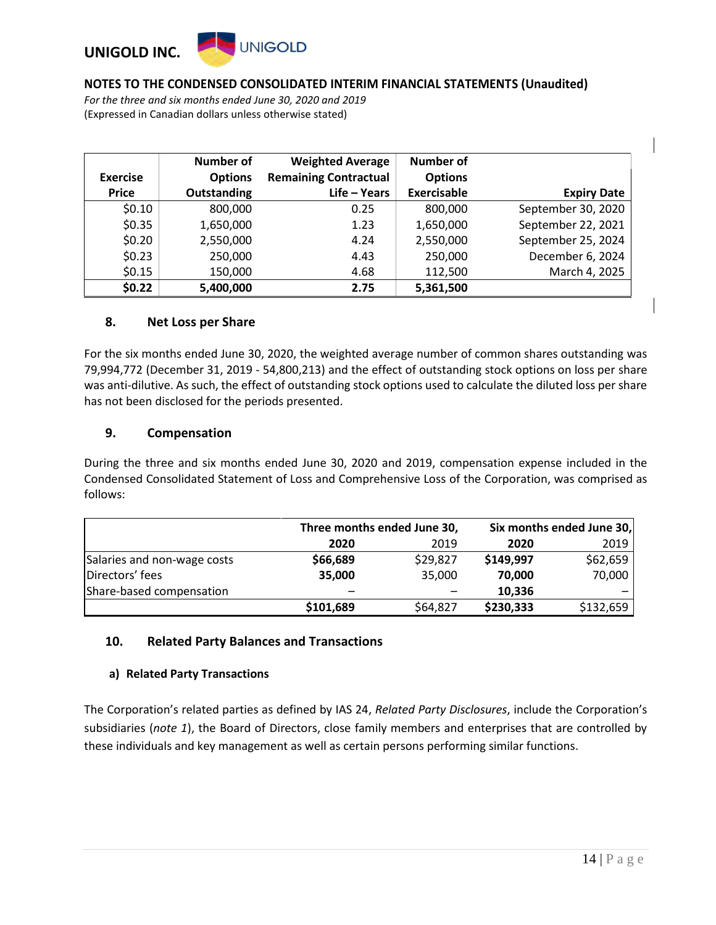### **UNIGOLD UNIGOLD INC.**

### **NOTES TO THE CONDENSED CONSOLIDATED INTERIM FINANCIAL STATEMENTS (Unaudited)**

*For the three and six months ended June 30, 2020 and 2019* (Expressed in Canadian dollars unless otherwise stated)

|                 | <b>Number of</b> | <b>Weighted Average</b>      | <b>Number of</b> |                    |
|-----------------|------------------|------------------------------|------------------|--------------------|
| <b>Exercise</b> | <b>Options</b>   | <b>Remaining Contractual</b> | <b>Options</b>   |                    |
| <b>Price</b>    | Outstanding      | Life - Years                 | Exercisable      | <b>Expiry Date</b> |
| \$0.10          | 800,000          | 0.25                         | 800,000          | September 30, 2020 |
| \$0.35          | 1,650,000        | 1.23                         | 1,650,000        | September 22, 2021 |
| \$0.20          | 2,550,000        | 4.24                         | 2,550,000        | September 25, 2024 |
| \$0.23          | 250,000          | 4.43                         | 250,000          | December 6, 2024   |
| \$0.15          | 150,000          | 4.68                         | 112,500          | March 4, 2025      |
| \$0.22          | 5,400,000        | 2.75                         | 5,361,500        |                    |

### **8. Net Loss per Share**

For the six months ended June 30, 2020, the weighted average number of common shares outstanding was 79,994,772 (December 31, 2019 - 54,800,213) and the effect of outstanding stock options on loss per share was anti-dilutive. As such, the effect of outstanding stock options used to calculate the diluted loss per share has not been disclosed for the periods presented.

### **9. Compensation**

During the three and six months ended June 30, 2020 and 2019, compensation expense included in the Condensed Consolidated Statement of Loss and Comprehensive Loss of the Corporation, was comprised as follows:

|                             | Three months ended June 30, |                      |           | Six months ended June 30, |  |
|-----------------------------|-----------------------------|----------------------|-----------|---------------------------|--|
|                             | 2020                        | 2019<br>2019<br>2020 |           |                           |  |
| Salaries and non-wage costs | \$66,689                    | \$29,827             | \$149,997 | \$62,659                  |  |
| Directors' fees             | 35,000                      | 35,000               | 70.000    | 70,000                    |  |
| Share-based compensation    | -                           |                      | 10,336    |                           |  |
|                             | \$101,689                   | \$64,827             | \$230,333 | \$132,659                 |  |

### **10. Related Party Balances and Transactions**

### **a) Related Party Transactions**

The Corporation's related parties as defined by IAS 24, *Related Party Disclosures*, include the Corporation's subsidiaries (*note 1*), the Board of Directors, close family members and enterprises that are controlled by these individuals and key management as well as certain persons performing similar functions.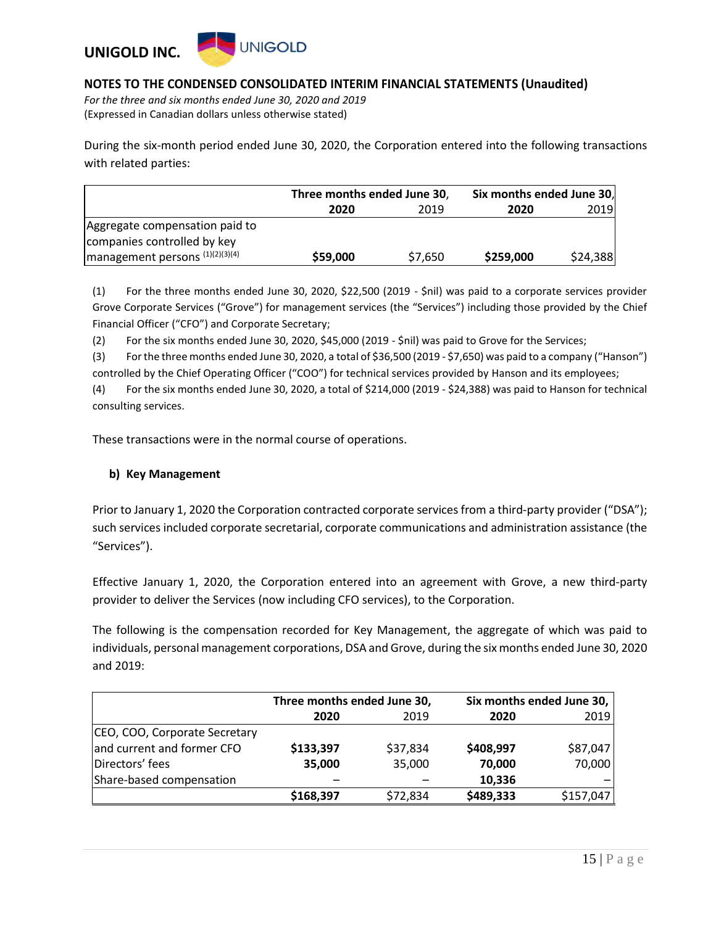

*For the three and six months ended June 30, 2020 and 2019* (Expressed in Canadian dollars unless otherwise stated)

During the six-month period ended June 30, 2020, the Corporation entered into the following transactions with related parties:

|                                                   | Three months ended June 30, |         | Six months ended June 30, |          |
|---------------------------------------------------|-----------------------------|---------|---------------------------|----------|
|                                                   | 2020                        | 2019    | 2020                      | 2019     |
| Aggregate compensation paid to                    |                             |         |                           |          |
| companies controlled by key                       |                             |         |                           |          |
| $\left $ management persons $(1)(2)(3)(4)\right $ | \$59,000                    | \$7,650 | \$259,000                 | \$24,388 |

(1) For the three months ended June 30, 2020, \$22,500 (2019 - \$nil) was paid to a corporate services provider Grove Corporate Services ("Grove") for management services (the "Services") including those provided by the Chief Financial Officer ("CFO") and Corporate Secretary;

(2) For the six months ended June 30, 2020, \$45,000 (2019 - \$nil) was paid to Grove for the Services;

(3) For the three months ended June 30, 2020, a total of \$36,500 (2019 - \$7,650) was paid to a company ("Hanson") controlled by the Chief Operating Officer ("COO") for technical services provided by Hanson and its employees;

(4) For the six months ended June 30, 2020, a total of \$214,000 (2019 - \$24,388) was paid to Hanson for technical consulting services.

These transactions were in the normal course of operations.

### **b) Key Management**

Prior to January 1, 2020 the Corporation contracted corporate services from a third-party provider ("DSA"); such services included corporate secretarial, corporate communications and administration assistance (the "Services").

Effective January 1, 2020, the Corporation entered into an agreement with Grove, a new third-party provider to deliver the Services (now including CFO services), to the Corporation.

The following is the compensation recorded for Key Management, the aggregate of which was paid to individuals, personal management corporations, DSA and Grove, during the six months ended June 30, 2020 and 2019:

|                               | Three months ended June 30, |          | Six months ended June 30, |           |
|-------------------------------|-----------------------------|----------|---------------------------|-----------|
|                               | 2020                        | 2019     | 2020                      | 2019      |
| CEO, COO, Corporate Secretary |                             |          |                           |           |
| and current and former CFO    | \$133,397                   | \$37,834 | \$408,997                 | \$87,047  |
| Directors' fees               | 35,000                      | 35,000   | 70,000                    | 70,000    |
| Share-based compensation      |                             |          | 10,336                    |           |
|                               | \$168,397                   | \$72,834 | \$489,333                 | \$157,047 |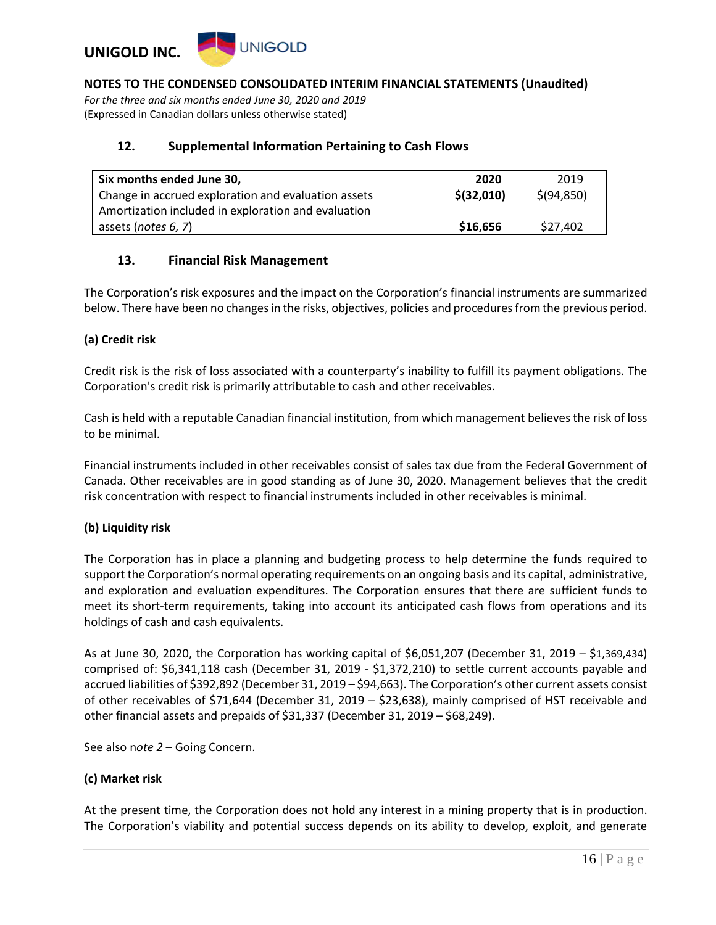

*For the three and six months ended June 30, 2020 and 2019* (Expressed in Canadian dollars unless otherwise stated)

#### **12. Supplemental Information Pertaining to Cash Flows**

| Six months ended June 30,                           | 2020        | 2019         |
|-----------------------------------------------------|-------------|--------------|
| Change in accrued exploration and evaluation assets | \$ (32,010) | \$ (94, 850) |
| Amortization included in exploration and evaluation |             |              |
| assets (notes 6, 7)                                 | \$16,656    | \$27.402     |

### **13. Financial Risk Management**

The Corporation's risk exposures and the impact on the Corporation's financial instruments are summarized below. There have been no changes in the risks, objectives, policies and procedures from the previous period.

#### **(a) Credit risk**

Credit risk is the risk of loss associated with a counterparty's inability to fulfill its payment obligations. The Corporation's credit risk is primarily attributable to cash and other receivables.

Cash is held with a reputable Canadian financial institution, from which management believes the risk of loss to be minimal.

Financial instruments included in other receivables consist of sales tax due from the Federal Government of Canada. Other receivables are in good standing as of June 30, 2020. Management believes that the credit risk concentration with respect to financial instruments included in other receivables is minimal.

### **(b) Liquidity risk**

The Corporation has in place a planning and budgeting process to help determine the funds required to support the Corporation's normal operating requirements on an ongoing basis and its capital, administrative, and exploration and evaluation expenditures. The Corporation ensures that there are sufficient funds to meet its short-term requirements, taking into account its anticipated cash flows from operations and its holdings of cash and cash equivalents.

As at June 30, 2020, the Corporation has working capital of \$6,051,207 (December 31, 2019 – \$1,369,434) comprised of: \$6,341,118 cash (December 31, 2019 - \$1,372,210) to settle current accounts payable and accrued liabilities of \$392,892 (December 31, 2019 – \$94,663). The Corporation's other current assets consist of other receivables of \$71,644 (December 31, 2019 – \$23,638), mainly comprised of HST receivable and other financial assets and prepaids of \$31,337 (December 31, 2019 – \$68,249).

See also n*ote 2* – Going Concern.

#### **(c) Market risk**

At the present time, the Corporation does not hold any interest in a mining property that is in production. The Corporation's viability and potential success depends on its ability to develop, exploit, and generate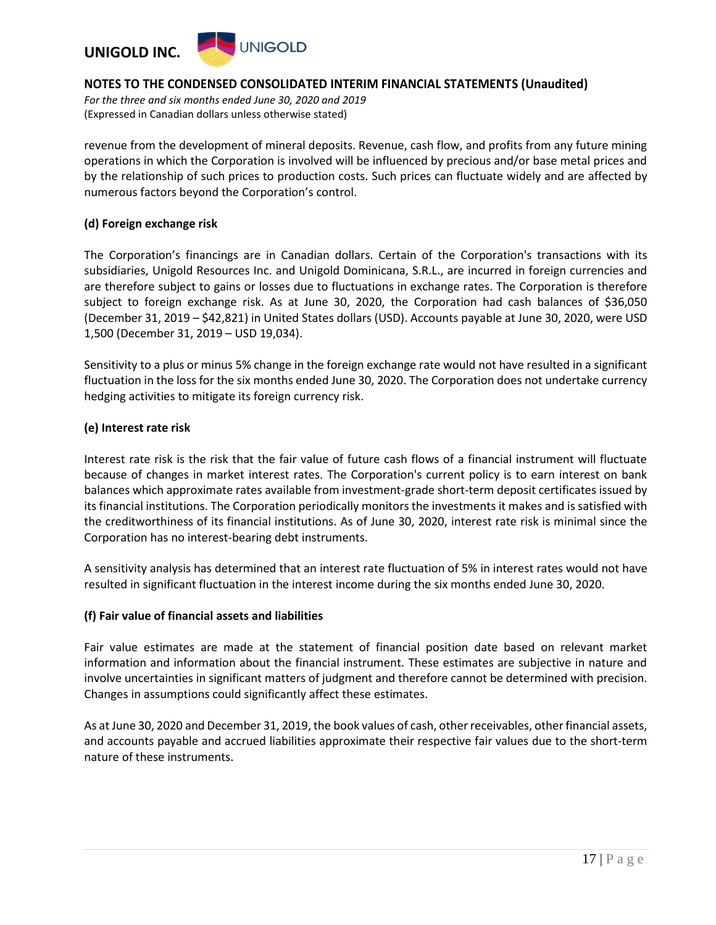

*For the three and six months ended June 30, 2020 and 2019* (Expressed in Canadian dollars unless otherwise stated)

revenue from the development of mineral deposits. Revenue, cash flow, and profits from any future mining operations in which the Corporation is involved will be influenced by precious and/or base metal prices and by the relationship of such prices to production costs. Such prices can fluctuate widely and are affected by numerous factors beyond the Corporation's control.

#### **(d) Foreign exchange risk**

The Corporation's financings are in Canadian dollars. Certain of the Corporation's transactions with its subsidiaries, Unigold Resources Inc. and Unigold Dominicana, S.R.L., are incurred in foreign currencies and are therefore subject to gains or losses due to fluctuations in exchange rates. The Corporation is therefore subject to foreign exchange risk. As at June 30, 2020, the Corporation had cash balances of \$36,050 (December 31, 2019 – \$42,821) in United States dollars (USD). Accounts payable at June 30, 2020, were USD 1,500 (December 31, 2019 – USD 19,034).

Sensitivity to a plus or minus 5% change in the foreign exchange rate would not have resulted in a significant fluctuation in the loss for the six months ended June 30, 2020. The Corporation does not undertake currency hedging activities to mitigate its foreign currency risk.

#### **(e) Interest rate risk**

Interest rate risk is the risk that the fair value of future cash flows of a financial instrument will fluctuate because of changes in market interest rates. The Corporation's current policy is to earn interest on bank balances which approximate rates available from investment-grade short-term deposit certificates issued by its financial institutions. The Corporation periodically monitors the investments it makes and is satisfied with the creditworthiness of its financial institutions. As of June 30, 2020, interest rate risk is minimal since the Corporation has no interest-bearing debt instruments.

A sensitivity analysis has determined that an interest rate fluctuation of 5% in interest rates would not have resulted in significant fluctuation in the interest income during the six months ended June 30, 2020.

### **(f) Fair value of financial assets and liabilities**

Fair value estimates are made at the statement of financial position date based on relevant market information and information about the financial instrument. These estimates are subjective in nature and involve uncertainties in significant matters of judgment and therefore cannot be determined with precision. Changes in assumptions could significantly affect these estimates.

As at June 30, 2020 and December 31, 2019, the book values of cash, other receivables, other financial assets, and accounts payable and accrued liabilities approximate their respective fair values due to the short-term nature of these instruments.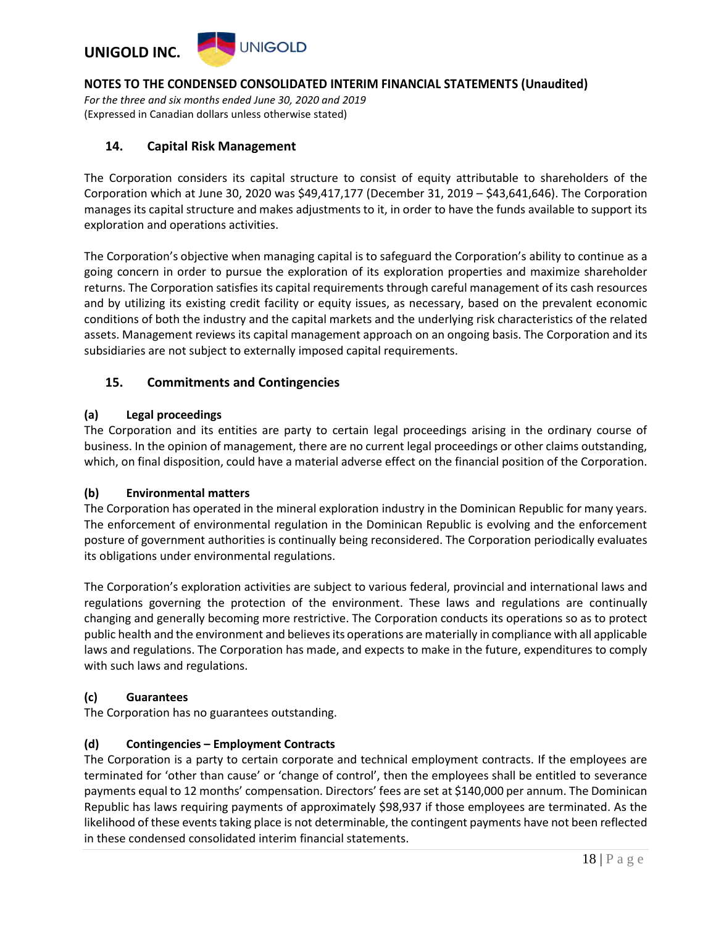

*For the three and six months ended June 30, 2020 and 2019* (Expressed in Canadian dollars unless otherwise stated)

### **14. Capital Risk Management**

The Corporation considers its capital structure to consist of equity attributable to shareholders of the Corporation which at June 30, 2020 was \$49,417,177 (December 31, 2019 – \$43,641,646). The Corporation manages its capital structure and makes adjustments to it, in order to have the funds available to support its exploration and operations activities.

The Corporation's objective when managing capital is to safeguard the Corporation's ability to continue as a going concern in order to pursue the exploration of its exploration properties and maximize shareholder returns. The Corporation satisfies its capital requirements through careful management of its cash resources and by utilizing its existing credit facility or equity issues, as necessary, based on the prevalent economic conditions of both the industry and the capital markets and the underlying risk characteristics of the related assets. Management reviews its capital management approach on an ongoing basis. The Corporation and its subsidiaries are not subject to externally imposed capital requirements.

### **15. Commitments and Contingencies**

### **(a) Legal proceedings**

The Corporation and its entities are party to certain legal proceedings arising in the ordinary course of business. In the opinion of management, there are no current legal proceedings or other claims outstanding, which, on final disposition, could have a material adverse effect on the financial position of the Corporation.

### **(b) Environmental matters**

The Corporation has operated in the mineral exploration industry in the Dominican Republic for many years. The enforcement of environmental regulation in the Dominican Republic is evolving and the enforcement posture of government authorities is continually being reconsidered. The Corporation periodically evaluates its obligations under environmental regulations.

The Corporation's exploration activities are subject to various federal, provincial and international laws and regulations governing the protection of the environment. These laws and regulations are continually changing and generally becoming more restrictive. The Corporation conducts its operations so as to protect public health and the environment and believes its operations are materially in compliance with all applicable laws and regulations. The Corporation has made, and expects to make in the future, expenditures to comply with such laws and regulations.

### **(c) Guarantees**

The Corporation has no guarantees outstanding.

#### **(d) Contingencies – Employment Contracts**

The Corporation is a party to certain corporate and technical employment contracts. If the employees are terminated for 'other than cause' or 'change of control', then the employees shall be entitled to severance payments equal to 12 months' compensation. Directors' fees are set at \$140,000 per annum. The Dominican Republic has laws requiring payments of approximately \$98,937 if those employees are terminated. As the likelihood of these events taking place is not determinable, the contingent payments have not been reflected in these condensed consolidated interim financial statements.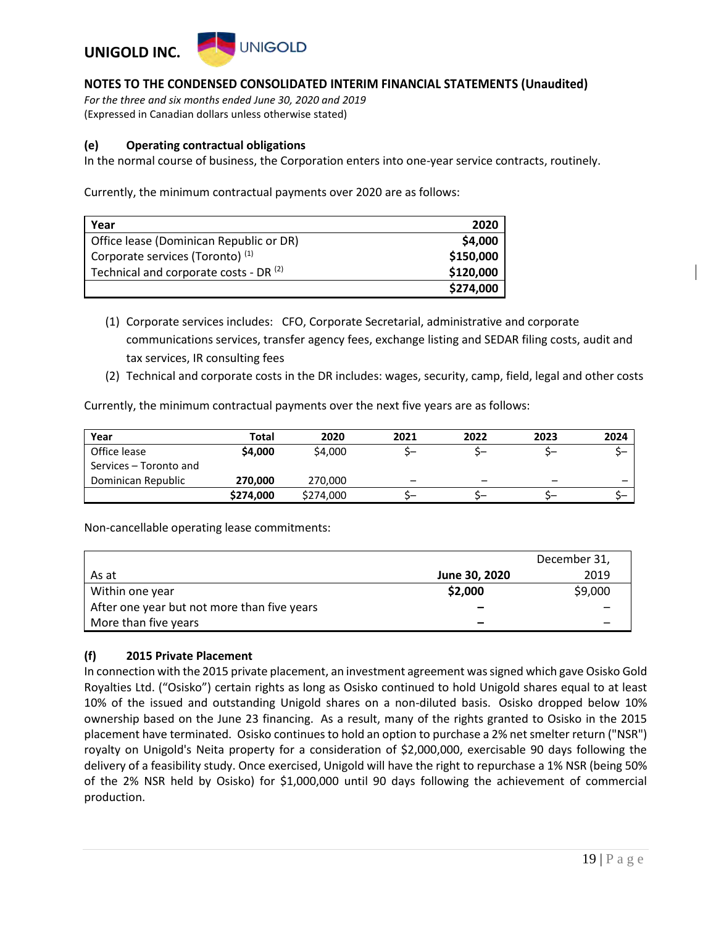

*For the three and six months ended June 30, 2020 and 2019* (Expressed in Canadian dollars unless otherwise stated)

#### **(e) Operating contractual obligations**

In the normal course of business, the Corporation enters into one-year service contracts, routinely.

Currently, the minimum contractual payments over 2020 are as follows:

| Year                                              | 2020      |
|---------------------------------------------------|-----------|
| Office lease (Dominican Republic or DR)           | \$4,000   |
| Corporate services (Toronto) <sup>(1)</sup>       | \$150,000 |
| Technical and corporate costs - DR <sup>(2)</sup> | \$120,000 |
|                                                   | \$274,000 |

- (1) Corporate services includes: CFO, Corporate Secretarial, administrative and corporate communications services, transfer agency fees, exchange listing and SEDAR filing costs, audit and tax services, IR consulting fees
- (2) Technical and corporate costs in the DR includes: wages, security, camp, field, legal and other costs

Currently, the minimum contractual payments over the next five years are as follows:

| Year                   | Total     | 2020      | 2021                     | 2022 | 2023                     | 2024 |
|------------------------|-----------|-----------|--------------------------|------|--------------------------|------|
| Office lease           | \$4,000   | \$4,000   | ∽–                       |      |                          |      |
| Services – Toronto and |           |           |                          |      |                          |      |
| Dominican Republic     | 270,000   | 270,000   | $\overline{\phantom{0}}$ | -    | $\overline{\phantom{0}}$ |      |
|                        | \$274,000 | \$274,000 |                          |      |                          |      |

Non-cancellable operating lease commitments:

|                                             |               | December 31, |
|---------------------------------------------|---------------|--------------|
| As at                                       | June 30, 2020 | 2019         |
| Within one year                             | \$2,000       | \$9,000      |
| After one year but not more than five years | -             |              |
| More than five years                        |               |              |

### **(f) 2015 Private Placement**

In connection with the 2015 private placement, an investment agreement was signed which gave Osisko Gold Royalties Ltd. ("Osisko") certain rights as long as Osisko continued to hold Unigold shares equal to at least 10% of the issued and outstanding Unigold shares on a non-diluted basis. Osisko dropped below 10% ownership based on the June 23 financing. As a result, many of the rights granted to Osisko in the 2015 placement have terminated. Osisko continues to hold an option to purchase a 2% net smelter return ("NSR") royalty on Unigold's Neita property for a consideration of \$2,000,000, exercisable 90 days following the delivery of a feasibility study. Once exercised, Unigold will have the right to repurchase a 1% NSR (being 50% of the 2% NSR held by Osisko) for \$1,000,000 until 90 days following the achievement of commercial production.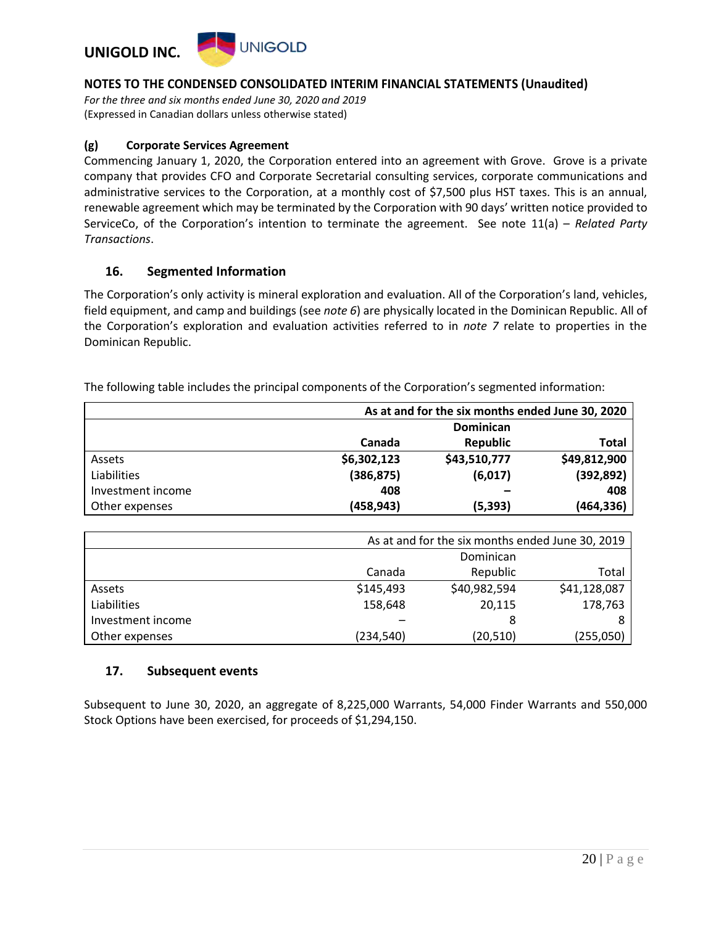

*For the three and six months ended June 30, 2020 and 2019* (Expressed in Canadian dollars unless otherwise stated)

#### **(g) Corporate Services Agreement**

Commencing January 1, 2020, the Corporation entered into an agreement with Grove. Grove is a private company that provides CFO and Corporate Secretarial consulting services, corporate communications and administrative services to the Corporation, at a monthly cost of \$7,500 plus HST taxes. This is an annual, renewable agreement which may be terminated by the Corporation with 90 days' written notice provided to ServiceCo, of the Corporation's intention to terminate the agreement. See note 11(a) – *Related Party Transactions*.

#### **16. Segmented Information**

The Corporation's only activity is mineral exploration and evaluation. All of the Corporation's land, vehicles, field equipment, and camp and buildings (see *note 6*) are physically located in the Dominican Republic. All of the Corporation's exploration and evaluation activities referred to in *note 7* relate to properties in the Dominican Republic.

The following table includes the principal components of the Corporation's segmented information:

|                   | As at and for the six months ended June 30, 2020 |              |              |  |  |
|-------------------|--------------------------------------------------|--------------|--------------|--|--|
|                   | Dominican                                        |              |              |  |  |
|                   | Canada                                           | Republic     | Total        |  |  |
| Assets            | \$6,302,123                                      | \$43,510,777 | \$49,812,900 |  |  |
| Liabilities       | (386, 875)                                       | (6,017)      | (392, 892)   |  |  |
| Investment income | 408                                              |              | 408          |  |  |
| Other expenses    | (458,943)                                        | (5, 393)     | (464,336)    |  |  |

|                   | As at and for the six months ended June 30, 2019 |                   |              |  |  |  |  |
|-------------------|--------------------------------------------------|-------------------|--------------|--|--|--|--|
|                   |                                                  | Dominican         |              |  |  |  |  |
|                   | Canada                                           | Republic<br>Total |              |  |  |  |  |
| Assets            | \$145,493                                        | \$40,982,594      | \$41,128,087 |  |  |  |  |
| Liabilities       | 158,648                                          | 178,763<br>20,115 |              |  |  |  |  |
| Investment income |                                                  | 8                 |              |  |  |  |  |
| Other expenses    | (234, 540)                                       | (20, 510)         | (255,050)    |  |  |  |  |

### **17. Subsequent events**

Subsequent to June 30, 2020, an aggregate of 8,225,000 Warrants, 54,000 Finder Warrants and 550,000 Stock Options have been exercised, for proceeds of \$1,294,150.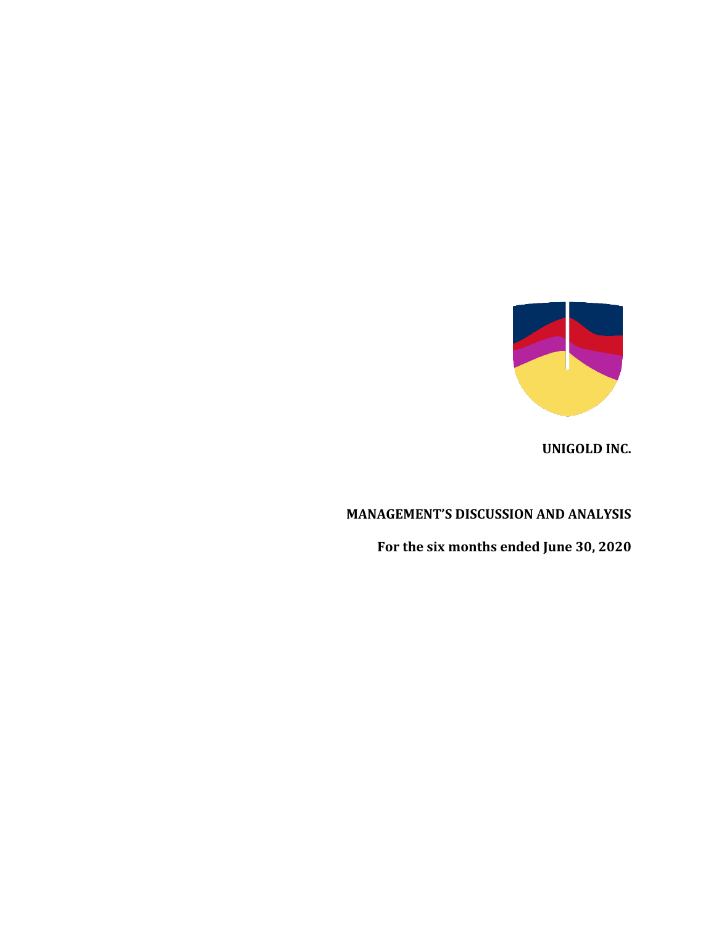

**UNIGOLD INC.**

# **MANAGEMENT'S DISCUSSION AND ANALYSIS**

**For the six months ended June 30, 2020**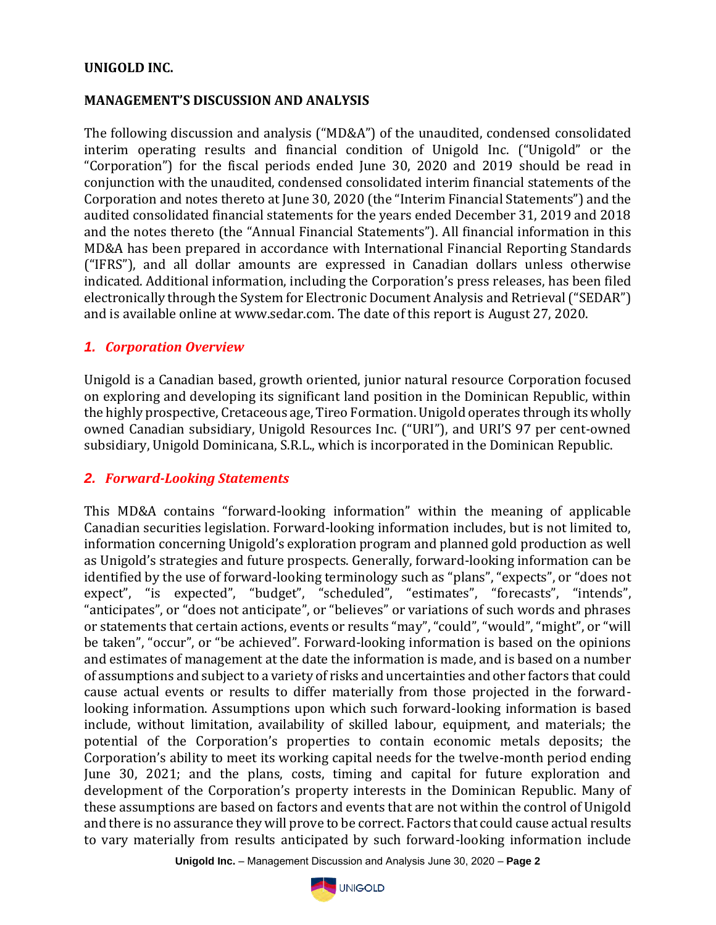## **UNIGOLD INC.**

### **MANAGEMENT'S DISCUSSION AND ANALYSIS**

The following discussion and analysis ("MD&A") of the unaudited, condensed consolidated interim operating results and financial condition of Unigold Inc. ("Unigold" or the "Corporation") for the fiscal periods ended June 30, 2020 and 2019 should be read in conjunction with the unaudited, condensed consolidated interim financial statements of the Corporation and notes thereto at June 30, 2020 (the "Interim Financial Statements") and the audited consolidated financial statements for the years ended December 31, 2019 and 2018 and the notes thereto (the "Annual Financial Statements"). All financial information in this MD&A has been prepared in accordance with International Financial Reporting Standards ("IFRS"), and all dollar amounts are expressed in Canadian dollars unless otherwise indicated. Additional information, including the Corporation's press releases, has been filed electronically through the System for Electronic Document Analysis and Retrieval ("SEDAR") and is available online at www.sedar.com. The date of this report is August 27, 2020.

## *1. Corporation Overview*

Unigold is a Canadian based, growth oriented, junior natural resource Corporation focused on exploring and developing its significant land position in the Dominican Republic, within the highly prospective, Cretaceous age, Tireo Formation. Unigold operates through its wholly owned Canadian subsidiary, Unigold Resources Inc. ("URI"), and URI'S 97 per cent-owned subsidiary, Unigold Dominicana, S.R.L., which is incorporated in the Dominican Republic.

## *2. Forward-Looking Statements*

This MD&A contains "forward-looking information" within the meaning of applicable Canadian securities legislation. Forward-looking information includes, but is not limited to, information concerning Unigold's exploration program and planned gold production as well as Unigold's strategies and future prospects. Generally, forward-looking information can be identified by the use of forward-looking terminology such as "plans", "expects", or "does not expect", "is expected", "budget", "scheduled", "estimates", "forecasts", "intends", "anticipates", or "does not anticipate", or "believes" or variations of such words and phrases or statements that certain actions, events or results "may", "could", "would", "might", or "will be taken", "occur", or "be achieved". Forward-looking information is based on the opinions and estimates of management at the date the information is made, and is based on a number of assumptions and subject to a variety of risks and uncertainties and other factors that could cause actual events or results to differ materially from those projected in the forwardlooking information. Assumptions upon which such forward-looking information is based include, without limitation, availability of skilled labour, equipment, and materials; the potential of the Corporation's properties to contain economic metals deposits; the Corporation's ability to meet its working capital needs for the twelve-month period ending June 30, 2021; and the plans, costs, timing and capital for future exploration and development of the Corporation's property interests in the Dominican Republic. Many of these assumptions are based on factors and events that are not within the control of Unigold and there is no assurance they will prove to be correct. Factors that could cause actual results to vary materially from results anticipated by such forward-looking information include

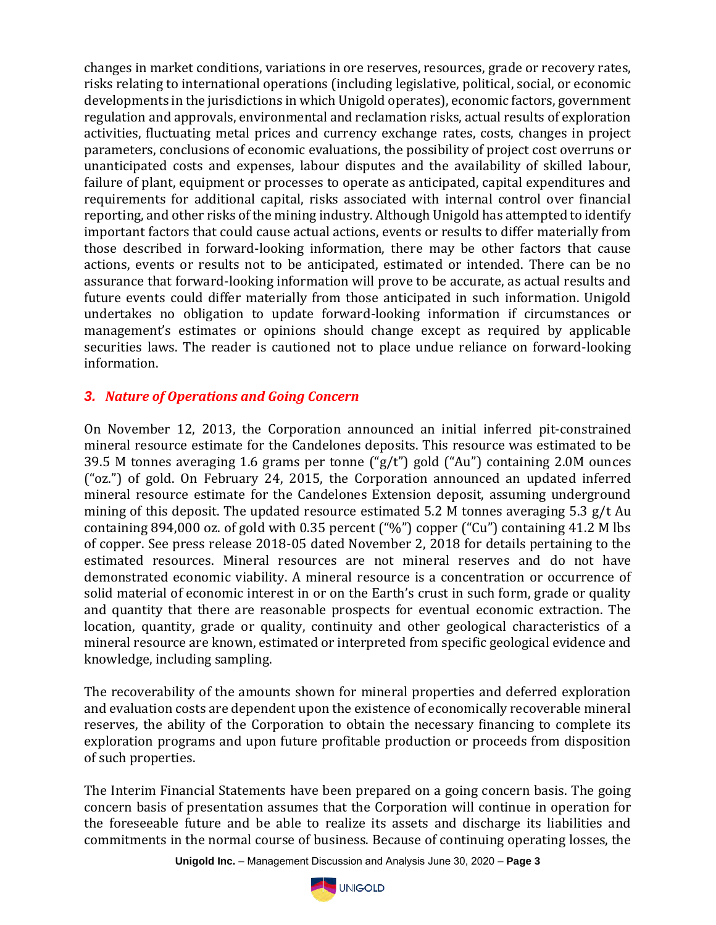changes in market conditions, variations in ore reserves, resources, grade or recovery rates, risks relating to international operations (including legislative, political, social, or economic developments in the jurisdictions in which Unigold operates), economic factors, government regulation and approvals, environmental and reclamation risks, actual results of exploration activities, fluctuating metal prices and currency exchange rates, costs, changes in project parameters, conclusions of economic evaluations, the possibility of project cost overruns or unanticipated costs and expenses, labour disputes and the availability of skilled labour, failure of plant, equipment or processes to operate as anticipated, capital expenditures and requirements for additional capital, risks associated with internal control over financial reporting, and other risks of the mining industry. Although Unigold has attempted to identify important factors that could cause actual actions, events or results to differ materially from those described in forward-looking information, there may be other factors that cause actions, events or results not to be anticipated, estimated or intended. There can be no assurance that forward-looking information will prove to be accurate, as actual results and future events could differ materially from those anticipated in such information. Unigold undertakes no obligation to update forward-looking information if circumstances or management's estimates or opinions should change except as required by applicable securities laws. The reader is cautioned not to place undue reliance on forward-looking information.

## *3. Nature of Operations and Going Concern*

On November 12, 2013, the Corporation announced an initial inferred pit-constrained mineral resource estimate for the Candelones deposits. This resource was estimated to be 39.5 M tonnes averaging 1.6 grams per tonne ("g/t") gold ("Au") containing 2.0M ounces ("oz.") of gold. On February 24, 2015, the Corporation announced an updated inferred mineral resource estimate for the Candelones Extension deposit, assuming underground mining of this deposit. The updated resource estimated 5.2 M tonnes averaging 5.3 g/t Au containing 894,000 oz. of gold with 0.35 percent ("%") copper ("Cu") containing 41.2 M lbs of copper. See press release 2018-05 dated November 2, 2018 for details pertaining to the estimated resources. Mineral resources are not mineral reserves and do not have demonstrated economic viability. A mineral resource is a concentration or occurrence of solid material of economic interest in or on the Earth's crust in such form, grade or quality and quantity that there are reasonable prospects for eventual economic extraction. The location, quantity, grade or quality, continuity and other geological characteristics of a mineral resource are known, estimated or interpreted from specific geological evidence and knowledge, including sampling.

The recoverability of the amounts shown for mineral properties and deferred exploration and evaluation costs are dependent upon the existence of economically recoverable mineral reserves, the ability of the Corporation to obtain the necessary financing to complete its exploration programs and upon future profitable production or proceeds from disposition of such properties.

The Interim Financial Statements have been prepared on a going concern basis. The going concern basis of presentation assumes that the Corporation will continue in operation for the foreseeable future and be able to realize its assets and discharge its liabilities and commitments in the normal course of business. Because of continuing operating losses, the

**Unigold Inc.** – Management Discussion and Analysis June 30, 2020 – **Page 3**

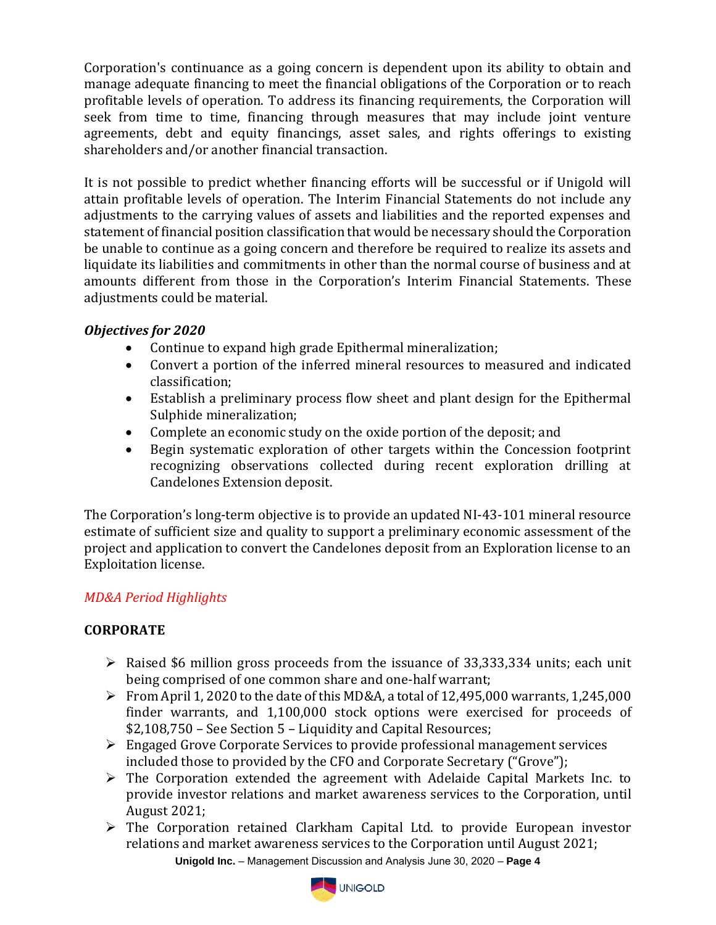Corporation's continuance as a going concern is dependent upon its ability to obtain and manage adequate financing to meet the financial obligations of the Corporation or to reach profitable levels of operation. To address its financing requirements, the Corporation will seek from time to time, financing through measures that may include joint venture agreements, debt and equity financings, asset sales, and rights offerings to existing shareholders and/or another financial transaction.

It is not possible to predict whether financing efforts will be successful or if Unigold will attain profitable levels of operation. The Interim Financial Statements do not include any adjustments to the carrying values of assets and liabilities and the reported expenses and statement of financial position classification that would be necessary should the Corporation be unable to continue as a going concern and therefore be required to realize its assets and liquidate its liabilities and commitments in other than the normal course of business and at amounts different from those in the Corporation's Interim Financial Statements. These adjustments could be material.

# *Objectives for 2020*

- Continue to expand high grade Epithermal mineralization;
- Convert a portion of the inferred mineral resources to measured and indicated classification;
- Establish a preliminary process flow sheet and plant design for the Epithermal Sulphide mineralization;
- Complete an economic study on the oxide portion of the deposit; and
- Begin systematic exploration of other targets within the Concession footprint recognizing observations collected during recent exploration drilling at Candelones Extension deposit.

The Corporation's long-term objective is to provide an updated NI-43-101 mineral resource estimate of sufficient size and quality to support a preliminary economic assessment of the project and application to convert the Candelones deposit from an Exploration license to an Exploitation license.

# *MD&A Period Highlights*

# **CORPORATE**

- ➢ Raised \$6 million gross proceeds from the issuance of 33,333,334 units; each unit being comprised of one common share and one-half warrant;
- $\triangleright$  From April 1, 2020 to the date of this MD&A, a total of 12,495,000 warrants, 1,245,000 finder warrants, and 1,100,000 stock options were exercised for proceeds of \$2,108,750 – See Section 5 – Liquidity and Capital Resources;
- ➢ Engaged Grove Corporate Services to provide professional management services included those to provided by the CFO and Corporate Secretary ("Grove");
- $\triangleright$  The Corporation extended the agreement with Adelaide Capital Markets Inc. to provide investor relations and market awareness services to the Corporation, until August 2021;
- **Unigold Inc.** Management Discussion and Analysis June 30, 2020 **Page 4** ➢ The Corporation retained Clarkham Capital Ltd. to provide European investor relations and market awareness services to the Corporation until August 2021;

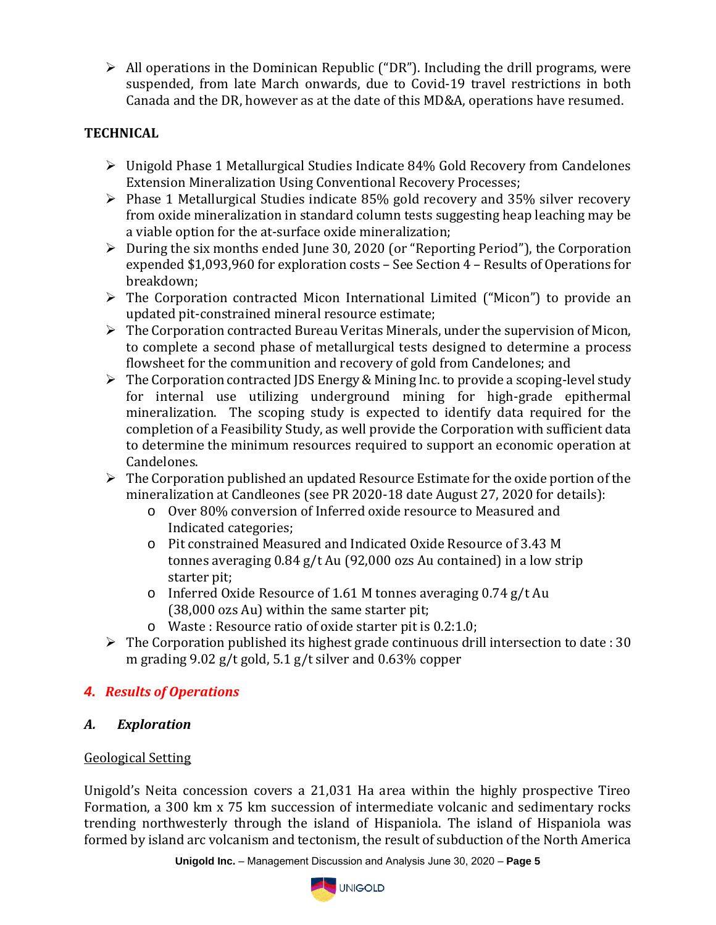$\triangleright$  All operations in the Dominican Republic ("DR"). Including the drill programs, were suspended, from late March onwards, due to Covid-19 travel restrictions in both Canada and the DR, however as at the date of this MD&A, operations have resumed.

# **TECHNICAL**

- ➢ Unigold Phase 1 Metallurgical Studies Indicate 84% Gold Recovery from Candelones Extension Mineralization Using Conventional Recovery Processes;
- ➢ Phase 1 Metallurgical Studies indicate 85% gold recovery and 35% silver recovery from oxide mineralization in standard column tests suggesting heap leaching may be a viable option for the at-surface oxide mineralization;
- ➢ During the six months ended June 30, 2020 (or "Reporting Period"), the Corporation expended \$1,093,960 for exploration costs – See Section 4 – Results of Operations for breakdown;
- ➢ The Corporation contracted Micon International Limited ("Micon") to provide an updated pit-constrained mineral resource estimate;
- ➢ The Corporation contracted Bureau Veritas Minerals, under the supervision of Micon, to complete a second phase of metallurgical tests designed to determine a process flowsheet for the communition and recovery of gold from Candelones; and
- $\triangleright$  The Corporation contracted JDS Energy & Mining Inc. to provide a scoping-level study for internal use utilizing underground mining for high-grade epithermal mineralization. The scoping study is expected to identify data required for the completion of a Feasibility Study, as well provide the Corporation with sufficient data to determine the minimum resources required to support an economic operation at Candelones.
- $\triangleright$  The Corporation published an updated Resource Estimate for the oxide portion of the mineralization at Candleones (see PR 2020-18 date August 27, 2020 for details):
	- o Over 80% conversion of Inferred oxide resource to Measured and Indicated categories;
	- o Pit constrained Measured and Indicated Oxide Resource of 3.43 M tonnes averaging 0.84 g/t Au (92,000 ozs Au contained) in a low strip starter pit;
	- o Inferred Oxide Resource of 1.61 M tonnes averaging 0.74 g/t Au (38,000 ozs Au) within the same starter pit;
	- o Waste : Resource ratio of oxide starter pit is 0.2:1.0;
- $\triangleright$  The Corporation published its highest grade continuous drill intersection to date : 30 m grading 9.02 g/t gold, 5.1 g/t silver and 0.63% copper

# *4. Results of Operations*

# *A. Exploration*

# Geological Setting

Unigold's Neita concession covers a 21,031 Ha area within the highly prospective Tireo Formation, a 300 km x 75 km succession of intermediate volcanic and sedimentary rocks trending northwesterly through the island of Hispaniola. The island of Hispaniola was formed by island arc volcanism and tectonism, the result of subduction of the North America

**Unigold Inc.** – Management Discussion and Analysis June 30, 2020 – **Page 5**

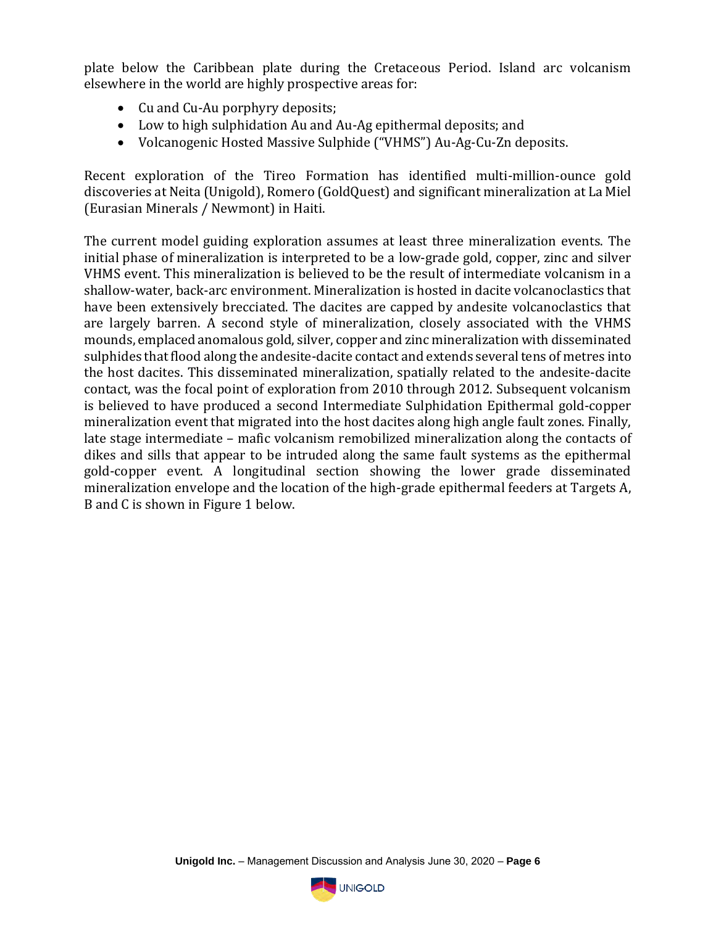plate below the Caribbean plate during the Cretaceous Period. Island arc volcanism elsewhere in the world are highly prospective areas for:

- Cu and Cu-Au porphyry deposits;
- Low to high sulphidation Au and Au-Ag epithermal deposits; and
- Volcanogenic Hosted Massive Sulphide ("VHMS") Au-Ag-Cu-Zn deposits.

Recent exploration of the Tireo Formation has identified multi-million-ounce gold discoveries at Neita (Unigold), Romero (GoldQuest) and significant mineralization at La Miel (Eurasian Minerals / Newmont) in Haiti.

The current model guiding exploration assumes at least three mineralization events. The initial phase of mineralization is interpreted to be a low-grade gold, copper, zinc and silver VHMS event. This mineralization is believed to be the result of intermediate volcanism in a shallow-water, back-arc environment. Mineralization is hosted in dacite volcanoclastics that have been extensively brecciated. The dacites are capped by andesite volcanoclastics that are largely barren. A second style of mineralization, closely associated with the VHMS mounds, emplaced anomalous gold, silver, copper and zinc mineralization with disseminated sulphides that flood along the andesite-dacite contact and extends several tens of metres into the host dacites. This disseminated mineralization, spatially related to the andesite-dacite contact, was the focal point of exploration from 2010 through 2012. Subsequent volcanism is believed to have produced a second Intermediate Sulphidation Epithermal gold-copper mineralization event that migrated into the host dacites along high angle fault zones. Finally, late stage intermediate – mafic volcanism remobilized mineralization along the contacts of dikes and sills that appear to be intruded along the same fault systems as the epithermal gold-copper event. A longitudinal section showing the lower grade disseminated mineralization envelope and the location of the high-grade epithermal feeders at Targets A, B and C is shown in Figure 1 below.

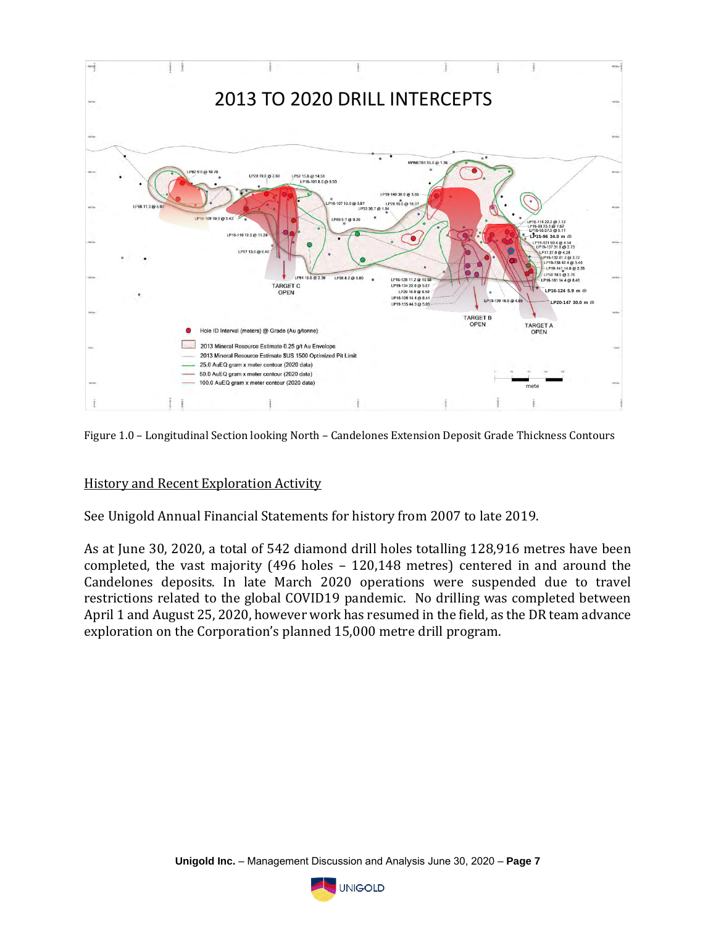

Figure 1.0 – Longitudinal Section looking North – Candelones Extension Deposit Grade Thickness Contours

## History and Recent Exploration Activity

See Unigold Annual Financial Statements for history from 2007 to late 2019.

As at June 30, 2020, a total of 542 diamond drill holes totalling 128,916 metres have been completed, the vast majority (496 holes – 120,148 metres) centered in and around the Candelones deposits. In late March 2020 operations were suspended due to travel restrictions related to the global COVID19 pandemic. No drilling was completed between April 1 and August 25, 2020, however work has resumed in the field, as the DR team advance exploration on the Corporation's planned 15,000 metre drill program.

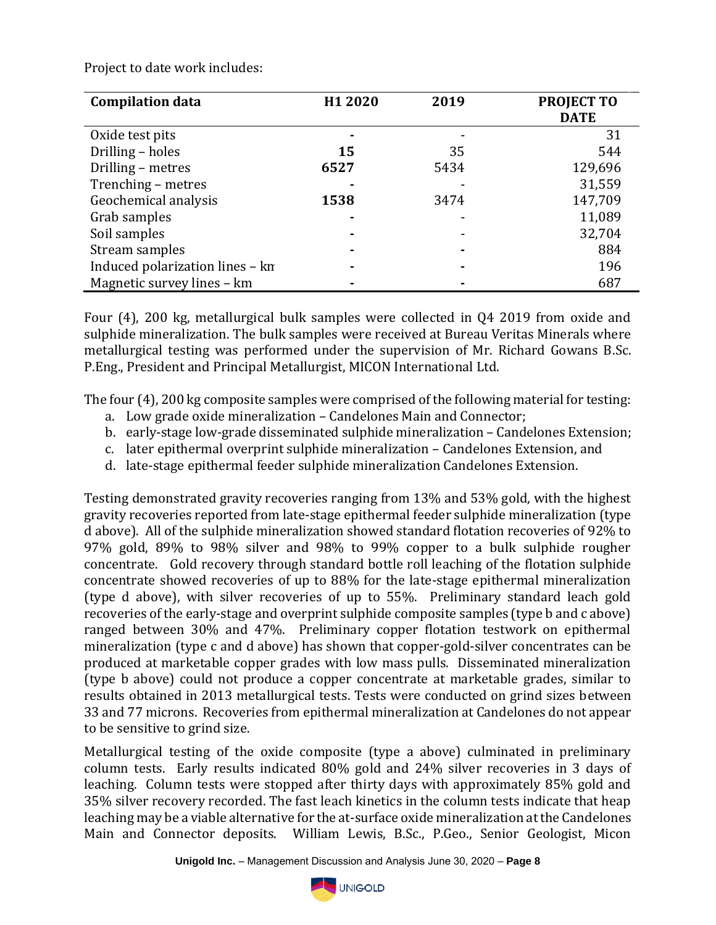Project to date work includes:

| <b>Compilation data</b>         | H1 2020 | 2019 | <b>PROJECT TO</b><br><b>DATE</b> |
|---------------------------------|---------|------|----------------------------------|
| Oxide test pits                 |         |      | 31                               |
| Drilling - holes                | 15      | 35   | 544                              |
| Drilling - metres               | 6527    | 5434 | 129,696                          |
| Trenching - metres              |         |      | 31,559                           |
| Geochemical analysis            | 1538    | 3474 | 147,709                          |
| Grab samples                    |         |      | 11,089                           |
| Soil samples                    |         |      | 32,704                           |
| Stream samples                  |         |      | 884                              |
| Induced polarization lines - kn |         |      | 196                              |
| Magnetic survey lines - km      |         |      | 687                              |

Four (4), 200 kg, metallurgical bulk samples were collected in Q4 2019 from oxide and sulphide mineralization. The bulk samples were received at Bureau Veritas Minerals where metallurgical testing was performed under the supervision of Mr. Richard Gowans B.Sc. P.Eng., President and Principal Metallurgist, MICON International Ltd.

The four (4), 200 kg composite samples were comprised of the following material for testing:

- a. Low grade oxide mineralization Candelones Main and Connector;
- b. early-stage low-grade disseminated sulphide mineralization Candelones Extension;
- c. later epithermal overprint sulphide mineralization Candelones Extension, and
- d. late-stage epithermal feeder sulphide mineralization Candelones Extension.

Testing demonstrated gravity recoveries ranging from 13% and 53% gold, with the highest gravity recoveries reported from late-stage epithermal feeder sulphide mineralization (type d above). All of the sulphide mineralization showed standard flotation recoveries of 92% to 97% gold, 89% to 98% silver and 98% to 99% copper to a bulk sulphide rougher concentrate. Gold recovery through standard bottle roll leaching of the flotation sulphide concentrate showed recoveries of up to 88% for the late-stage epithermal mineralization (type d above), with silver recoveries of up to 55%. Preliminary standard leach gold recoveries of the early-stage and overprint sulphide composite samples (type b and c above) ranged between 30% and 47%. Preliminary copper flotation testwork on epithermal mineralization (type c and d above) has shown that copper-gold-silver concentrates can be produced at marketable copper grades with low mass pulls. Disseminated mineralization (type b above) could not produce a copper concentrate at marketable grades, similar to results obtained in 2013 metallurgical tests. Tests were conducted on grind sizes between 33 and 77 microns. Recoveries from epithermal mineralization at Candelones do not appear to be sensitive to grind size.

Metallurgical testing of the oxide composite (type a above) culminated in preliminary column tests. Early results indicated 80% gold and 24% silver recoveries in 3 days of leaching. Column tests were stopped after thirty days with approximately 85% gold and 35% silver recovery recorded. The fast leach kinetics in the column tests indicate that heap leaching may be a viable alternative for the at-surface oxide mineralization at the Candelones Main and Connector deposits. William Lewis, B.Sc., P.Geo., Senior Geologist, Micon

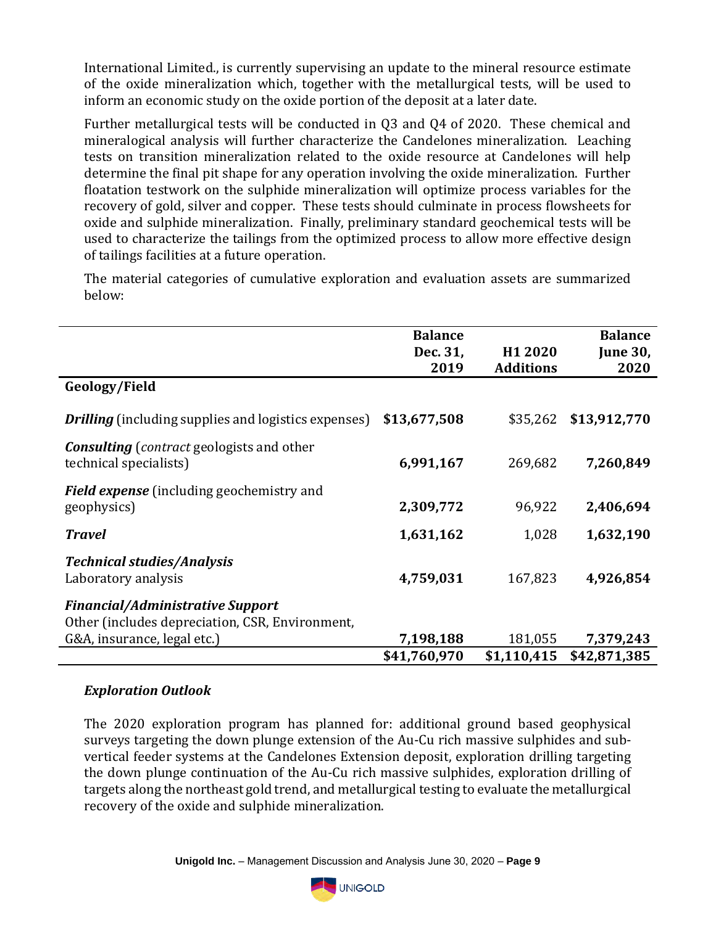International Limited., is currently supervising an update to the mineral resource estimate of the oxide mineralization which, together with the metallurgical tests, will be used to inform an economic study on the oxide portion of the deposit at a later date.

Further metallurgical tests will be conducted in Q3 and Q4 of 2020. These chemical and mineralogical analysis will further characterize the Candelones mineralization. Leaching tests on transition mineralization related to the oxide resource at Candelones will help determine the final pit shape for any operation involving the oxide mineralization. Further floatation testwork on the sulphide mineralization will optimize process variables for the recovery of gold, silver and copper. These tests should culminate in process flowsheets for oxide and sulphide mineralization. Finally, preliminary standard geochemical tests will be used to characterize the tailings from the optimized process to allow more effective design of tailings facilities at a future operation.

The material categories of cumulative exploration and evaluation assets are summarized below:

|                                                                                    | <b>Balance</b><br>Dec. 31, | H1 2020          | <b>Balance</b><br><b>June 30,</b> |
|------------------------------------------------------------------------------------|----------------------------|------------------|-----------------------------------|
|                                                                                    | 2019                       | <b>Additions</b> | 2020                              |
| Geology/Field                                                                      |                            |                  |                                   |
| <b>Drilling</b> (including supplies and logistics expenses)                        | \$13,677,508               | \$35,262         | \$13,912,770                      |
| <b>Consulting</b> ( <i>contract</i> geologists and other<br>technical specialists) | 6,991,167                  | 269,682          | 7,260,849                         |
| <b>Field expense</b> (including geochemistry and<br>geophysics)                    | 2,309,772                  | 96,922           | 2,406,694                         |
| <b>Travel</b>                                                                      | 1,631,162                  | 1,028            | 1,632,190                         |
| <b>Technical studies/Analysis</b><br>Laboratory analysis                           | 4,759,031                  | 167,823          | 4,926,854                         |
| <b>Financial/Administrative Support</b>                                            |                            |                  |                                   |
| Other (includes depreciation, CSR, Environment,                                    |                            |                  |                                   |
| G&A, insurance, legal etc.)                                                        | 7,198,188                  | 181,055          | 7,379,243                         |
|                                                                                    | \$41,760,970               | \$1,110,415      | \$42,871,385                      |

# *Exploration Outlook*

The 2020 exploration program has planned for: additional ground based geophysical surveys targeting the down plunge extension of the Au-Cu rich massive sulphides and subvertical feeder systems at the Candelones Extension deposit, exploration drilling targeting the down plunge continuation of the Au-Cu rich massive sulphides, exploration drilling of targets along the northeast gold trend, and metallurgical testing to evaluate the metallurgical recovery of the oxide and sulphide mineralization.

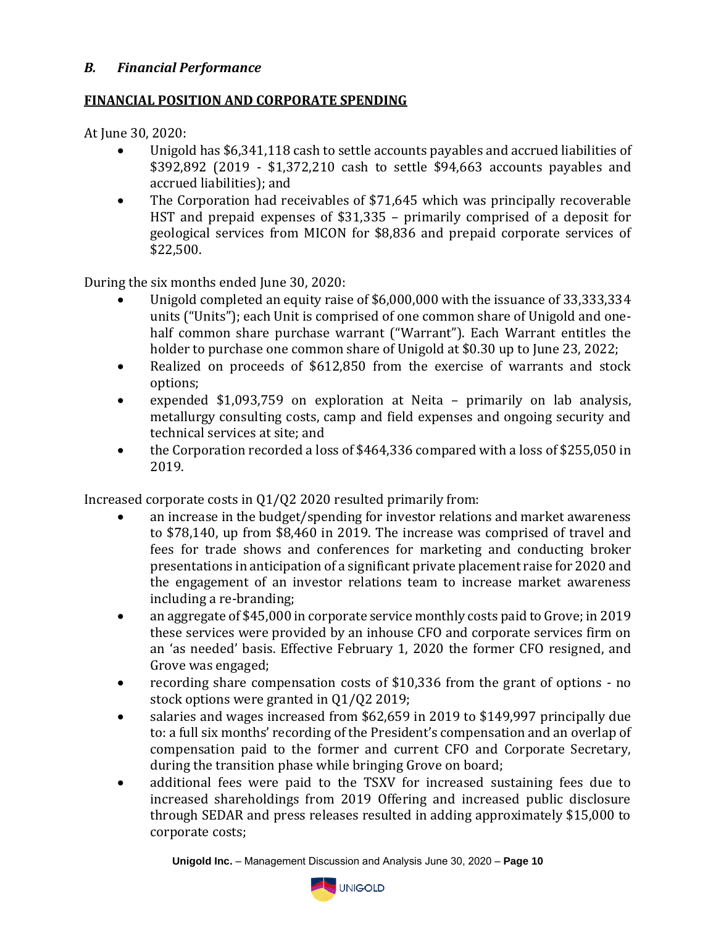## *B. Financial Performance*

## **FINANCIAL POSITION AND CORPORATE SPENDING**

At June 30, 2020:

- Unigold has \$6,341,118 cash to settle accounts payables and accrued liabilities of \$392,892 (2019 - \$1,372,210 cash to settle \$94,663 accounts payables and accrued liabilities); and
- The Corporation had receivables of \$71,645 which was principally recoverable HST and prepaid expenses of \$31,335 – primarily comprised of a deposit for geological services from MICON for \$8,836 and prepaid corporate services of \$22,500.

During the six months ended June 30, 2020:

- Unigold completed an equity raise of \$6,000,000 with the issuance of 33,333,334 units ("Units"); each Unit is comprised of one common share of Unigold and onehalf common share purchase warrant ("Warrant"). Each Warrant entitles the holder to purchase one common share of Unigold at \$0.30 up to June 23, 2022;
- Realized on proceeds of \$612,850 from the exercise of warrants and stock options;
- expended \$1,093,759 on exploration at Neita primarily on lab analysis, metallurgy consulting costs, camp and field expenses and ongoing security and technical services at site; and
- the Corporation recorded a loss of \$464,336 compared with a loss of \$255,050 in 2019.

Increased corporate costs in Q1/Q2 2020 resulted primarily from:

- an increase in the budget/spending for investor relations and market awareness to \$78,140, up from \$8,460 in 2019. The increase was comprised of travel and fees for trade shows and conferences for marketing and conducting broker presentations in anticipation of a significant private placement raise for 2020 and the engagement of an investor relations team to increase market awareness including a re-branding;
- an aggregate of \$45,000 in corporate service monthly costs paid to Grove; in 2019 these services were provided by an inhouse CFO and corporate services firm on an 'as needed' basis. Effective February 1, 2020 the former CFO resigned, and Grove was engaged;
- recording share compensation costs of \$10,336 from the grant of options no stock options were granted in Q1/Q2 2019;
- salaries and wages increased from \$62,659 in 2019 to \$149,997 principally due to: a full six months' recording of the President's compensation and an overlap of compensation paid to the former and current CFO and Corporate Secretary, during the transition phase while bringing Grove on board;
- additional fees were paid to the TSXV for increased sustaining fees due to increased shareholdings from 2019 Offering and increased public disclosure through SEDAR and press releases resulted in adding approximately \$15,000 to corporate costs;

**Unigold Inc.** – Management Discussion and Analysis June 30, 2020 – **Page 10**

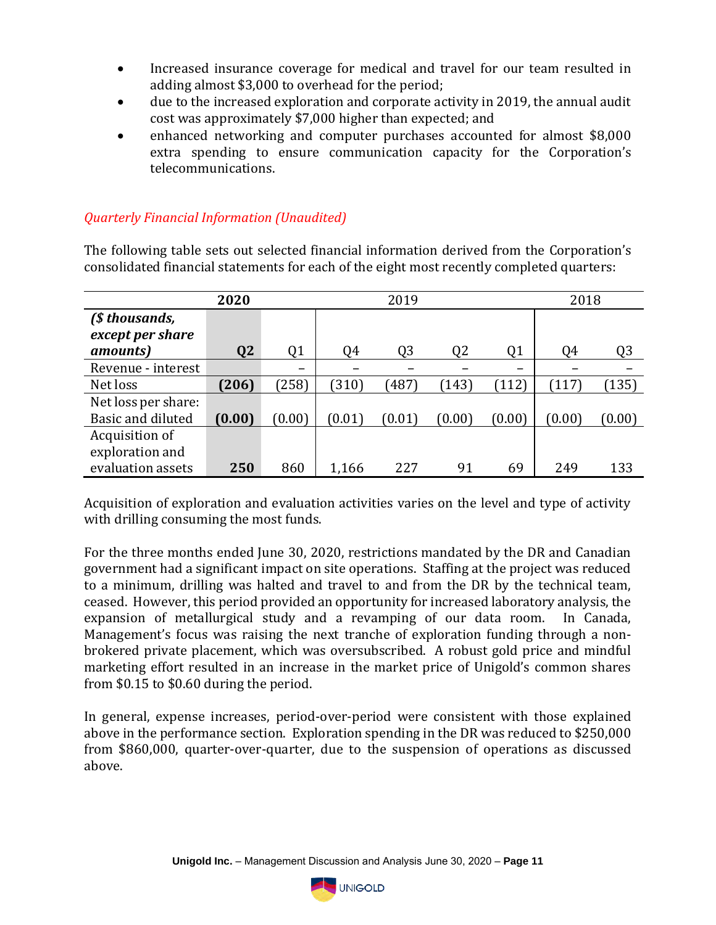- Increased insurance coverage for medical and travel for our team resulted in adding almost \$3,000 to overhead for the period;
- due to the increased exploration and corporate activity in 2019, the annual audit cost was approximately \$7,000 higher than expected; and
- enhanced networking and computer purchases accounted for almost \$8,000 extra spending to ensure communication capacity for the Corporation's telecommunications.

## *Quarterly Financial Information (Unaudited)*

The following table sets out selected financial information derived from the Corporation's consolidated financial statements for each of the eight most recently completed quarters:

|                     | 2020           |                | 2019   |        |                |                | 2018   |                |
|---------------------|----------------|----------------|--------|--------|----------------|----------------|--------|----------------|
| (\$ thousands,      |                |                |        |        |                |                |        |                |
| except per share    |                |                |        |        |                |                |        |                |
| <i>amounts</i> )    | Q <sub>2</sub> | Q <sub>1</sub> | Q4     | Q3     | Q <sub>2</sub> | Q <sub>1</sub> | 04     | Q <sub>3</sub> |
| Revenue - interest  |                |                |        |        |                | -              |        |                |
| Net loss            | (206)          | (258)          | (310)  | 1487   | (143)          | (112)          | [117]  | (135)          |
| Net loss per share: |                |                |        |        |                |                |        |                |
| Basic and diluted   | (0.00)         | (0.00)         | (0.01) | (0.01) | (0.00)         | (0.00)         | (0.00) | (0.00)         |
| Acquisition of      |                |                |        |        |                |                |        |                |
| exploration and     |                |                |        |        |                |                |        |                |
| evaluation assets   | 250            | 860            | 1,166  | 227    | 91             | 69             | 249    | 133            |

Acquisition of exploration and evaluation activities varies on the level and type of activity with drilling consuming the most funds.

For the three months ended June 30, 2020, restrictions mandated by the DR and Canadian government had a significant impact on site operations. Staffing at the project was reduced to a minimum, drilling was halted and travel to and from the DR by the technical team, ceased. However, this period provided an opportunity for increased laboratory analysis, the expansion of metallurgical study and a revamping of our data room. In Canada, Management's focus was raising the next tranche of exploration funding through a nonbrokered private placement, which was oversubscribed. A robust gold price and mindful marketing effort resulted in an increase in the market price of Unigold's common shares from \$0.15 to \$0.60 during the period.

In general, expense increases, period-over-period were consistent with those explained above in the performance section. Exploration spending in the DR was reduced to \$250,000 from \$860,000, quarter-over-quarter, due to the suspension of operations as discussed above.

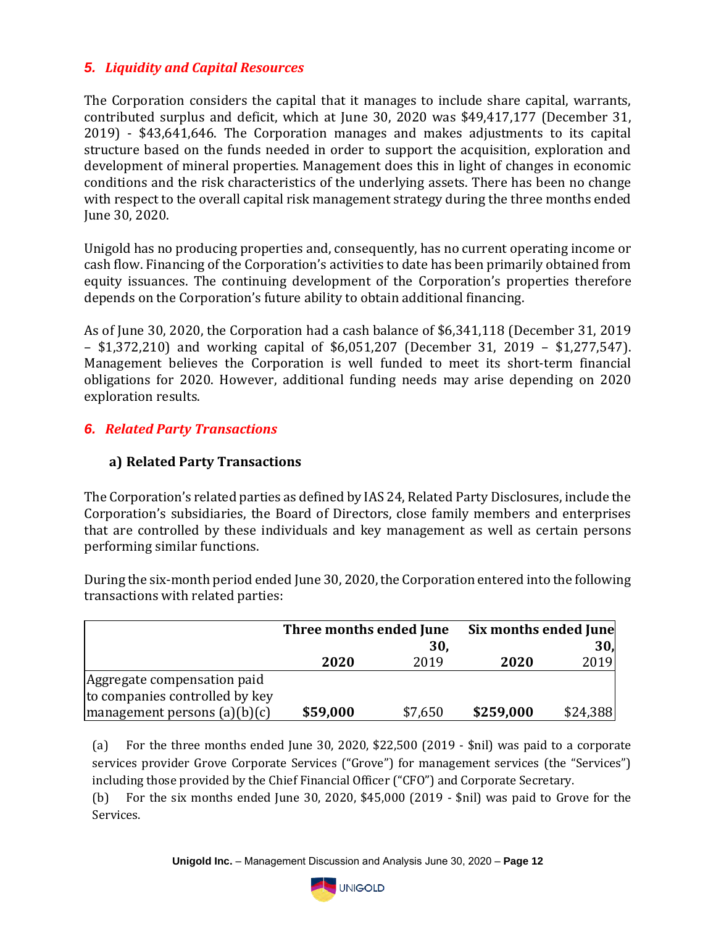# *5. Liquidity and Capital Resources*

The Corporation considers the capital that it manages to include share capital, warrants, contributed surplus and deficit, which at June 30, 2020 was \$49,417,177 (December 31, 2019) - \$43,641,646. The Corporation manages and makes adjustments to its capital structure based on the funds needed in order to support the acquisition, exploration and development of mineral properties. Management does this in light of changes in economic conditions and the risk characteristics of the underlying assets. There has been no change with respect to the overall capital risk management strategy during the three months ended June 30, 2020.

Unigold has no producing properties and, consequently, has no current operating income or cash flow. Financing of the Corporation's activities to date has been primarily obtained from equity issuances. The continuing development of the Corporation's properties therefore depends on the Corporation's future ability to obtain additional financing.

As of June 30, 2020, the Corporation had a cash balance of \$6,341,118 (December 31, 2019 – \$1,372,210) and working capital of \$6,051,207 (December 31, 2019 – \$1,277,547). Management believes the Corporation is well funded to meet its short-term financial obligations for 2020. However, additional funding needs may arise depending on 2020 exploration results.

# *6. Related Party Transactions*

## **a) Related Party Transactions**

The Corporation's related parties as defined by IAS 24, Related Party Disclosures, include the Corporation's subsidiaries, the Board of Directors, close family members and enterprises that are controlled by these individuals and key management as well as certain persons performing similar functions.

During the six-month period ended June 30, 2020, the Corporation entered into the following transactions with related parties:

|                                                                    |          | Three months ended June | Six months ended June |                 |
|--------------------------------------------------------------------|----------|-------------------------|-----------------------|-----------------|
|                                                                    |          | 30,                     |                       | 30 <sub>1</sub> |
|                                                                    | 2020     | 2019                    | 2020                  | 2019            |
| Aggregate compensation paid                                        |          |                         |                       |                 |
| to companies controlled by key                                     |          |                         |                       |                 |
| $\vert$ management persons $\vert$ a $\vert$ (b) $\vert$ c $\vert$ | \$59,000 | \$7,650                 | \$259,000             | \$24,388        |

(a) For the three months ended June 30, 2020, \$22,500 (2019 - \$nil) was paid to a corporate services provider Grove Corporate Services ("Grove") for management services (the "Services") including those provided by the Chief Financial Officer ("CFO") and Corporate Secretary.

(b) For the six months ended June 30, 2020, \$45,000 (2019 - \$nil) was paid to Grove for the Services.

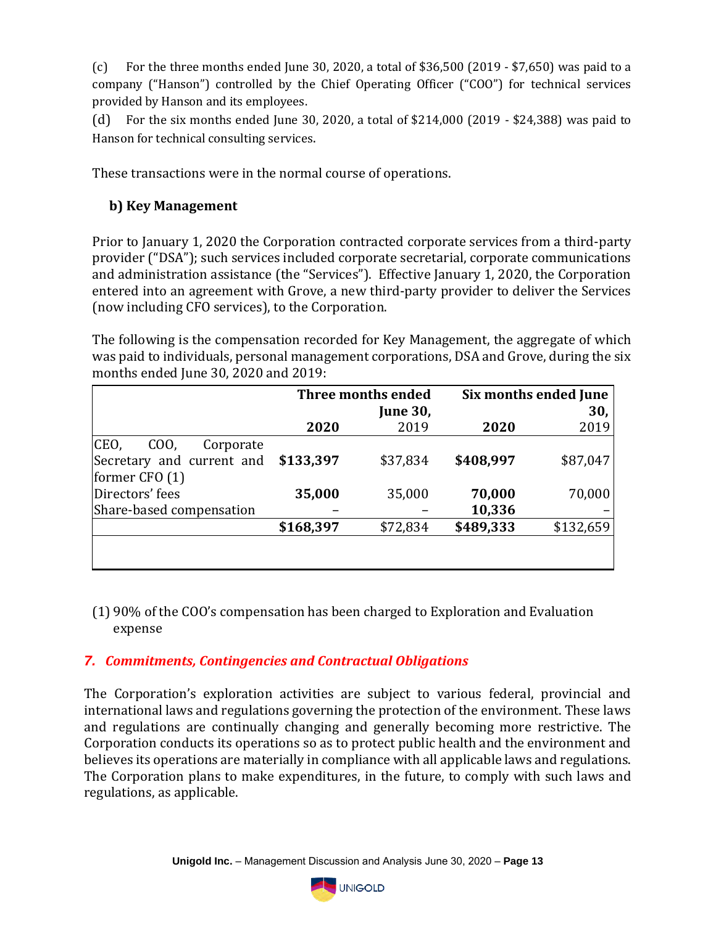(c) For the three months ended June 30, 2020, a total of \$36,500 (2019 - \$7,650) was paid to a company ("Hanson") controlled by the Chief Operating Officer ("COO") for technical services provided by Hanson and its employees.

(d) For the six months ended June 30, 2020, a total of \$214,000 (2019 - \$24,388) was paid to Hanson for technical consulting services.

These transactions were in the normal course of operations.

# **b) Key Management**

Prior to January 1, 2020 the Corporation contracted corporate services from a third-party provider ("DSA"); such services included corporate secretarial, corporate communications and administration assistance (the "Services"). Effective January 1, 2020, the Corporation entered into an agreement with Grove, a new third-party provider to deliver the Services (now including CFO services), to the Corporation.

The following is the compensation recorded for Key Management, the aggregate of which was paid to individuals, personal management corporations, DSA and Grove, during the six months ended June 30, 2020 and 2019:

|                                     |           | Three months ended |           | Six months ended June |
|-------------------------------------|-----------|--------------------|-----------|-----------------------|
|                                     |           | <b>June 30,</b>    |           | 30,                   |
|                                     | 2020      | 2019               | 2020      | 2019                  |
| CEO,<br>C <sub>0</sub><br>Corporate |           |                    |           |                       |
| Secretary and current and           | \$133,397 | \$37,834           | \$408,997 | \$87,047              |
| former $CFO(1)$                     |           |                    |           |                       |
| Directors' fees                     | 35,000    | 35,000             | 70,000    | 70,000                |
| Share-based compensation            |           |                    | 10,336    |                       |
|                                     | \$168,397 | \$72,834           | \$489,333 | \$132,659             |
|                                     |           |                    |           |                       |
|                                     |           |                    |           |                       |

(1) 90% of the COO's compensation has been charged to Exploration and Evaluation expense

# *7. Commitments, Contingencies and Contractual Obligations*

The Corporation's exploration activities are subject to various federal, provincial and international laws and regulations governing the protection of the environment. These laws and regulations are continually changing and generally becoming more restrictive. The Corporation conducts its operations so as to protect public health and the environment and believes its operations are materially in compliance with all applicable laws and regulations. The Corporation plans to make expenditures, in the future, to comply with such laws and regulations, as applicable.

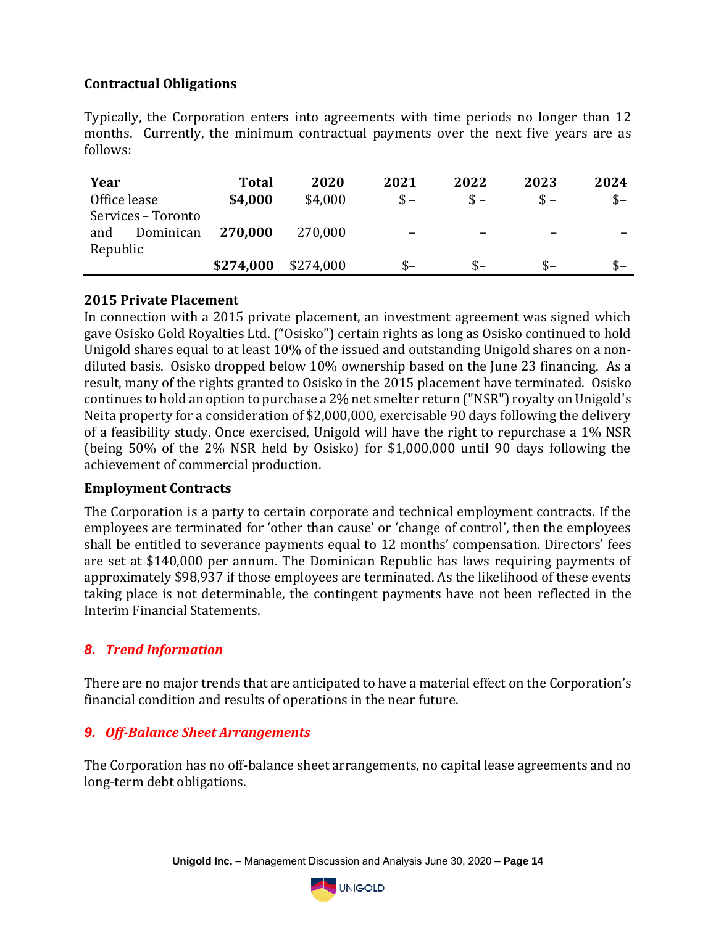# **Contractual Obligations**

Typically, the Corporation enters into agreements with time periods no longer than 12 months. Currently, the minimum contractual payments over the next five years are as follows:

| Year               | <b>Total</b> | 2020      | 2021  | 2022 | 2023 | 2024 |
|--------------------|--------------|-----------|-------|------|------|------|
| Office lease       | \$4,000      | \$4,000   | $S -$ |      |      | $S-$ |
| Services - Toronto |              |           |       |      |      |      |
| Dominican<br>and   | 270,000      | 270,000   |       | -    |      |      |
| Republic           |              |           |       |      |      |      |
|                    | \$274,000    | \$274,000 | S-    | $S-$ |      | $S-$ |

## **2015 Private Placement**

In connection with a 2015 private placement, an investment agreement was signed which gave Osisko Gold Royalties Ltd. ("Osisko") certain rights as long as Osisko continued to hold Unigold shares equal to at least 10% of the issued and outstanding Unigold shares on a nondiluted basis. Osisko dropped below 10% ownership based on the June 23 financing. As a result, many of the rights granted to Osisko in the 2015 placement have terminated. Osisko continues to hold an option to purchase a 2% net smelter return ("NSR") royalty on Unigold's Neita property for a consideration of \$2,000,000, exercisable 90 days following the delivery of a feasibility study. Once exercised, Unigold will have the right to repurchase a 1% NSR (being 50% of the 2% NSR held by Osisko) for \$1,000,000 until 90 days following the achievement of commercial production.

# **Employment Contracts**

The Corporation is a party to certain corporate and technical employment contracts. If the employees are terminated for 'other than cause' or 'change of control', then the employees shall be entitled to severance payments equal to 12 months' compensation. Directors' fees are set at \$140,000 per annum. The Dominican Republic has laws requiring payments of approximately \$98,937 if those employees are terminated. As the likelihood of these events taking place is not determinable, the contingent payments have not been reflected in the Interim Financial Statements.

# *8. Trend Information*

There are no major trends that are anticipated to have a material effect on the Corporation's financial condition and results of operations in the near future.

# *9. Off-Balance Sheet Arrangements*

The Corporation has no off-balance sheet arrangements, no capital lease agreements and no long-term debt obligations.

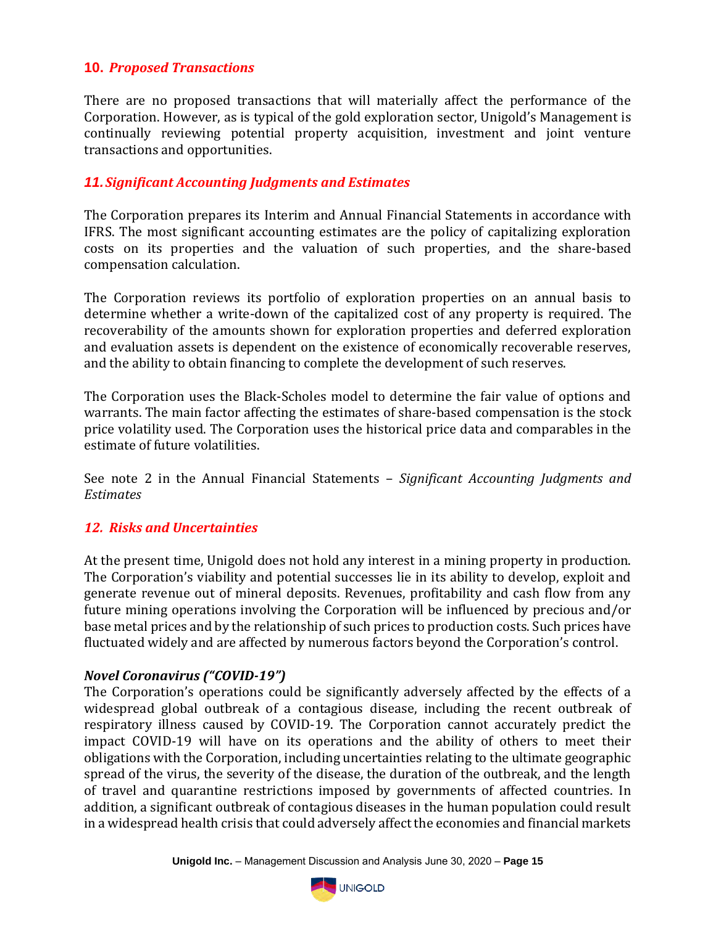## **10.** *Proposed Transactions*

There are no proposed transactions that will materially affect the performance of the Corporation. However, as is typical of the gold exploration sector, Unigold's Management is continually reviewing potential property acquisition, investment and joint venture transactions and opportunities.

## *11.Significant Accounting Judgments and Estimates*

The Corporation prepares its Interim and Annual Financial Statements in accordance with IFRS. The most significant accounting estimates are the policy of capitalizing exploration costs on its properties and the valuation of such properties, and the share-based compensation calculation.

The Corporation reviews its portfolio of exploration properties on an annual basis to determine whether a write-down of the capitalized cost of any property is required. The recoverability of the amounts shown for exploration properties and deferred exploration and evaluation assets is dependent on the existence of economically recoverable reserves, and the ability to obtain financing to complete the development of such reserves.

The Corporation uses the Black-Scholes model to determine the fair value of options and warrants. The main factor affecting the estimates of share-based compensation is the stock price volatility used. The Corporation uses the historical price data and comparables in the estimate of future volatilities.

See note 2 in the Annual Financial Statements – *Significant Accounting Judgments and Estimates*

## *12. Risks and Uncertainties*

At the present time, Unigold does not hold any interest in a mining property in production. The Corporation's viability and potential successes lie in its ability to develop, exploit and generate revenue out of mineral deposits. Revenues, profitability and cash flow from any future mining operations involving the Corporation will be influenced by precious and/or base metal prices and by the relationship of such prices to production costs. Such prices have fluctuated widely and are affected by numerous factors beyond the Corporation's control.

## *Novel Coronavirus ("COVID-19")*

The Corporation's operations could be significantly adversely affected by the effects of a widespread global outbreak of a contagious disease, including the recent outbreak of respiratory illness caused by COVID-19. The Corporation cannot accurately predict the impact COVID-19 will have on its operations and the ability of others to meet their obligations with the Corporation, including uncertainties relating to the ultimate geographic spread of the virus, the severity of the disease, the duration of the outbreak, and the length of travel and quarantine restrictions imposed by governments of affected countries. In addition, a significant outbreak of contagious diseases in the human population could result in a widespread health crisis that could adversely affect the economies and financial markets

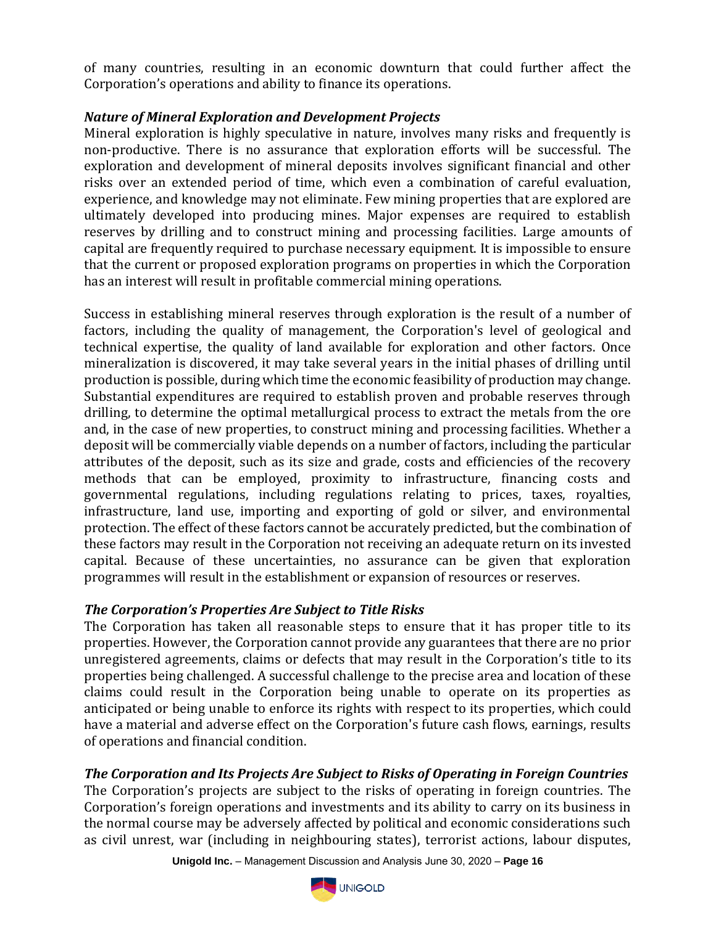of many countries, resulting in an economic downturn that could further affect the Corporation's operations and ability to finance its operations.

## *Nature of Mineral Exploration and Development Projects*

Mineral exploration is highly speculative in nature, involves many risks and frequently is non-productive. There is no assurance that exploration efforts will be successful. The exploration and development of mineral deposits involves significant financial and other risks over an extended period of time, which even a combination of careful evaluation, experience, and knowledge may not eliminate. Few mining properties that are explored are ultimately developed into producing mines. Major expenses are required to establish reserves by drilling and to construct mining and processing facilities. Large amounts of capital are frequently required to purchase necessary equipment. It is impossible to ensure that the current or proposed exploration programs on properties in which the Corporation has an interest will result in profitable commercial mining operations.

Success in establishing mineral reserves through exploration is the result of a number of factors, including the quality of management, the Corporation's level of geological and technical expertise, the quality of land available for exploration and other factors. Once mineralization is discovered, it may take several years in the initial phases of drilling until production is possible, during which time the economic feasibility of production may change. Substantial expenditures are required to establish proven and probable reserves through drilling, to determine the optimal metallurgical process to extract the metals from the ore and, in the case of new properties, to construct mining and processing facilities. Whether a deposit will be commercially viable depends on a number of factors, including the particular attributes of the deposit, such as its size and grade, costs and efficiencies of the recovery methods that can be employed, proximity to infrastructure, financing costs and governmental regulations, including regulations relating to prices, taxes, royalties, infrastructure, land use, importing and exporting of gold or silver, and environmental protection. The effect of these factors cannot be accurately predicted, but the combination of these factors may result in the Corporation not receiving an adequate return on its invested capital. Because of these uncertainties, no assurance can be given that exploration programmes will result in the establishment or expansion of resources or reserves.

# *The Corporation's Properties Are Subject to Title Risks*

The Corporation has taken all reasonable steps to ensure that it has proper title to its properties. However, the Corporation cannot provide any guarantees that there are no prior unregistered agreements, claims or defects that may result in the Corporation's title to its properties being challenged. A successful challenge to the precise area and location of these claims could result in the Corporation being unable to operate on its properties as anticipated or being unable to enforce its rights with respect to its properties, which could have a material and adverse effect on the Corporation's future cash flows, earnings, results of operations and financial condition.

# *The Corporation and Its Projects Are Subject to Risks of Operating in Foreign Countries*

The Corporation's projects are subject to the risks of operating in foreign countries. The Corporation's foreign operations and investments and its ability to carry on its business in the normal course may be adversely affected by political and economic considerations such as civil unrest, war (including in neighbouring states), terrorist actions, labour disputes,

**Unigold Inc.** – Management Discussion and Analysis June 30, 2020 – **Page 16**

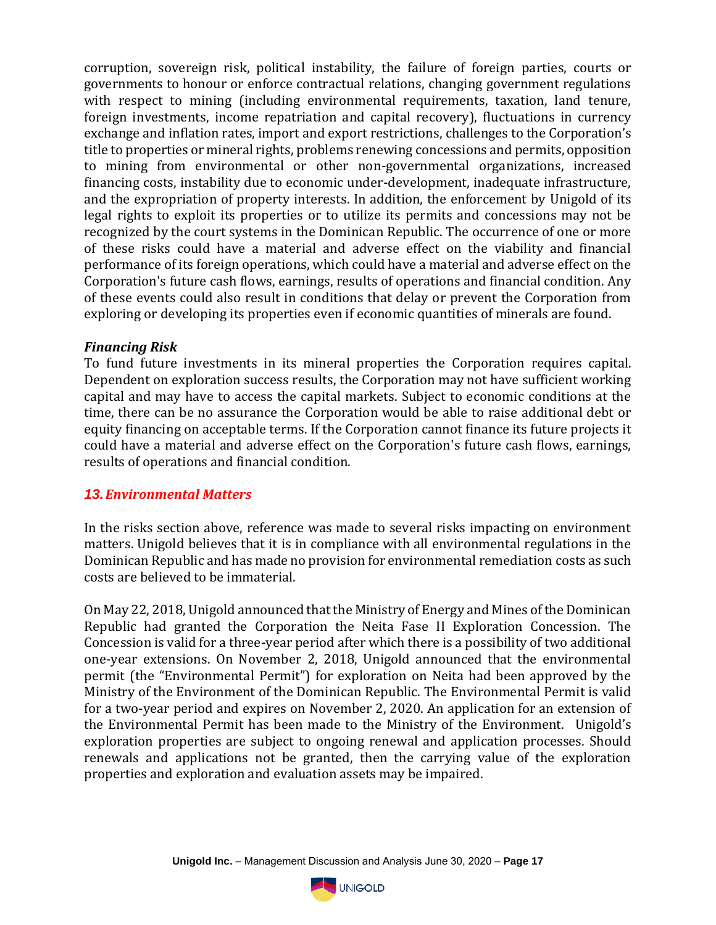corruption, sovereign risk, political instability, the failure of foreign parties, courts or governments to honour or enforce contractual relations, changing government regulations with respect to mining (including environmental requirements, taxation, land tenure, foreign investments, income repatriation and capital recovery), fluctuations in currency exchange and inflation rates, import and export restrictions, challenges to the Corporation's title to properties or mineral rights, problems renewing concessions and permits, opposition to mining from environmental or other non-governmental organizations, increased financing costs, instability due to economic under-development, inadequate infrastructure, and the expropriation of property interests. In addition, the enforcement by Unigold of its legal rights to exploit its properties or to utilize its permits and concessions may not be recognized by the court systems in the Dominican Republic. The occurrence of one or more of these risks could have a material and adverse effect on the viability and financial performance of its foreign operations, which could have a material and adverse effect on the Corporation's future cash flows, earnings, results of operations and financial condition. Any of these events could also result in conditions that delay or prevent the Corporation from exploring or developing its properties even if economic quantities of minerals are found.

### *Financing Risk*

To fund future investments in its mineral properties the Corporation requires capital. Dependent on exploration success results, the Corporation may not have sufficient working capital and may have to access the capital markets. Subject to economic conditions at the time, there can be no assurance the Corporation would be able to raise additional debt or equity financing on acceptable terms. If the Corporation cannot finance its future projects it could have a material and adverse effect on the Corporation's future cash flows, earnings, results of operations and financial condition.

## *13.Environmental Matters*

In the risks section above, reference was made to several risks impacting on environment matters. Unigold believes that it is in compliance with all environmental regulations in the Dominican Republic and has made no provision for environmental remediation costs as such costs are believed to be immaterial.

On May 22, 2018, Unigold announced that the Ministry of Energy and Mines of the Dominican Republic had granted the Corporation the Neita Fase II Exploration Concession. The Concession is valid for a three-year period after which there is a possibility of two additional one-year extensions. On November 2, 2018, Unigold announced that the environmental permit (the "Environmental Permit") for exploration on Neita had been approved by the Ministry of the Environment of the Dominican Republic. The Environmental Permit is valid for a two-year period and expires on November 2, 2020. An application for an extension of the Environmental Permit has been made to the Ministry of the Environment. Unigold's exploration properties are subject to ongoing renewal and application processes. Should renewals and applications not be granted, then the carrying value of the exploration properties and exploration and evaluation assets may be impaired.

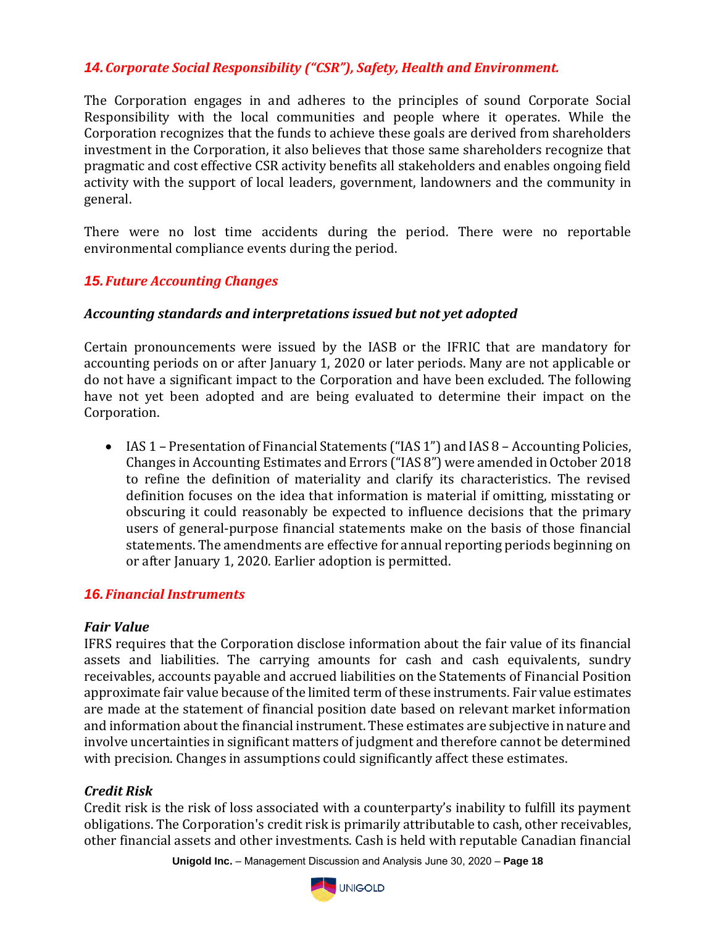# *14.Corporate Social Responsibility ("CSR"), Safety, Health and Environment.*

The Corporation engages in and adheres to the principles of sound Corporate Social Responsibility with the local communities and people where it operates. While the Corporation recognizes that the funds to achieve these goals are derived from shareholders investment in the Corporation, it also believes that those same shareholders recognize that pragmatic and cost effective CSR activity benefits all stakeholders and enables ongoing field activity with the support of local leaders, government, landowners and the community in general.

There were no lost time accidents during the period. There were no reportable environmental compliance events during the period.

## *15.Future Accounting Changes*

### *Accounting standards and interpretations issued but not yet adopted*

Certain pronouncements were issued by the IASB or the IFRIC that are mandatory for accounting periods on or after January 1, 2020 or later periods. Many are not applicable or do not have a significant impact to the Corporation and have been excluded. The following have not yet been adopted and are being evaluated to determine their impact on the Corporation.

• IAS 1 – Presentation of Financial Statements ("IAS 1") and IAS 8 – Accounting Policies, Changes in Accounting Estimates and Errors ("IAS 8") were amended in October 2018 to refine the definition of materiality and clarify its characteristics. The revised definition focuses on the idea that information is material if omitting, misstating or obscuring it could reasonably be expected to influence decisions that the primary users of general-purpose financial statements make on the basis of those financial statements. The amendments are effective for annual reporting periods beginning on or after January 1, 2020. Earlier adoption is permitted.

## *16.Financial Instruments*

### *Fair Value*

IFRS requires that the Corporation disclose information about the fair value of its financial assets and liabilities. The carrying amounts for cash and cash equivalents, sundry receivables, accounts payable and accrued liabilities on the Statements of Financial Position approximate fair value because of the limited term of these instruments. Fair value estimates are made at the statement of financial position date based on relevant market information and information about the financial instrument. These estimates are subjective in nature and involve uncertainties in significant matters of judgment and therefore cannot be determined with precision. Changes in assumptions could significantly affect these estimates.

## *Credit Risk*

Credit risk is the risk of loss associated with a counterparty's inability to fulfill its payment obligations. The Corporation's credit risk is primarily attributable to cash, other receivables, other financial assets and other investments. Cash is held with reputable Canadian financial

**Unigold Inc.** – Management Discussion and Analysis June 30, 2020 – **Page 18**

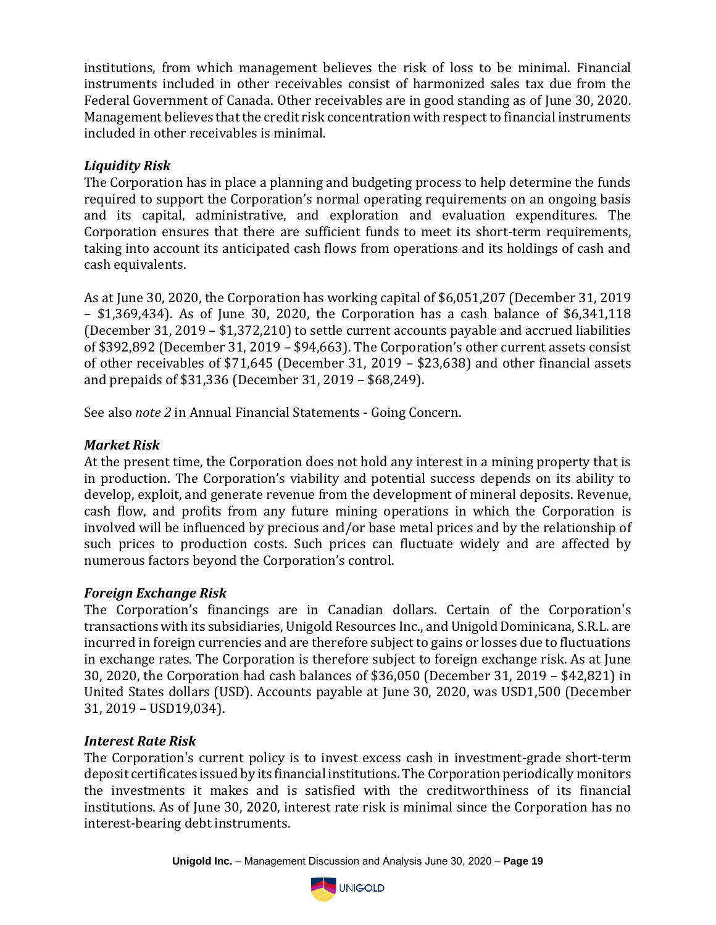institutions, from which management believes the risk of loss to be minimal. Financial instruments included in other receivables consist of harmonized sales tax due from the Federal Government of Canada. Other receivables are in good standing as of June 30, 2020. Management believes that the credit risk concentration with respect to financial instruments included in other receivables is minimal.

# *Liquidity Risk*

The Corporation has in place a planning and budgeting process to help determine the funds required to support the Corporation's normal operating requirements on an ongoing basis and its capital, administrative, and exploration and evaluation expenditures. The Corporation ensures that there are sufficient funds to meet its short-term requirements, taking into account its anticipated cash flows from operations and its holdings of cash and cash equivalents.

As at June 30, 2020, the Corporation has working capital of \$6,051,207 (December 31, 2019 – \$1,369,434). As of June 30, 2020, the Corporation has a cash balance of \$6,341,118 (December 31, 2019 – \$1,372,210) to settle current accounts payable and accrued liabilities of \$392,892 (December 31, 2019 – \$94,663). The Corporation's other current assets consist of other receivables of \$71,645 (December 31, 2019 – \$23,638) and other financial assets and prepaids of \$31,336 (December 31, 2019 – \$68,249).

See also *note 2* in Annual Financial Statements - Going Concern.

# *Market Risk*

At the present time, the Corporation does not hold any interest in a mining property that is in production. The Corporation's viability and potential success depends on its ability to develop, exploit, and generate revenue from the development of mineral deposits. Revenue, cash flow, and profits from any future mining operations in which the Corporation is involved will be influenced by precious and/or base metal prices and by the relationship of such prices to production costs. Such prices can fluctuate widely and are affected by numerous factors beyond the Corporation's control.

# *Foreign Exchange Risk*

The Corporation's financings are in Canadian dollars. Certain of the Corporation's transactions with its subsidiaries, Unigold Resources Inc., and Unigold Dominicana, S.R.L. are incurred in foreign currencies and are therefore subject to gains or losses due to fluctuations in exchange rates. The Corporation is therefore subject to foreign exchange risk. As at June 30, 2020, the Corporation had cash balances of \$36,050 (December 31, 2019 – \$42,821) in United States dollars (USD). Accounts payable at June 30, 2020, was USD1,500 (December 31, 2019 – USD19,034).

# *Interest Rate Risk*

The Corporation's current policy is to invest excess cash in investment-grade short-term deposit certificates issued by its financial institutions. The Corporation periodically monitors the investments it makes and is satisfied with the creditworthiness of its financial institutions. As of June 30, 2020, interest rate risk is minimal since the Corporation has no interest-bearing debt instruments.

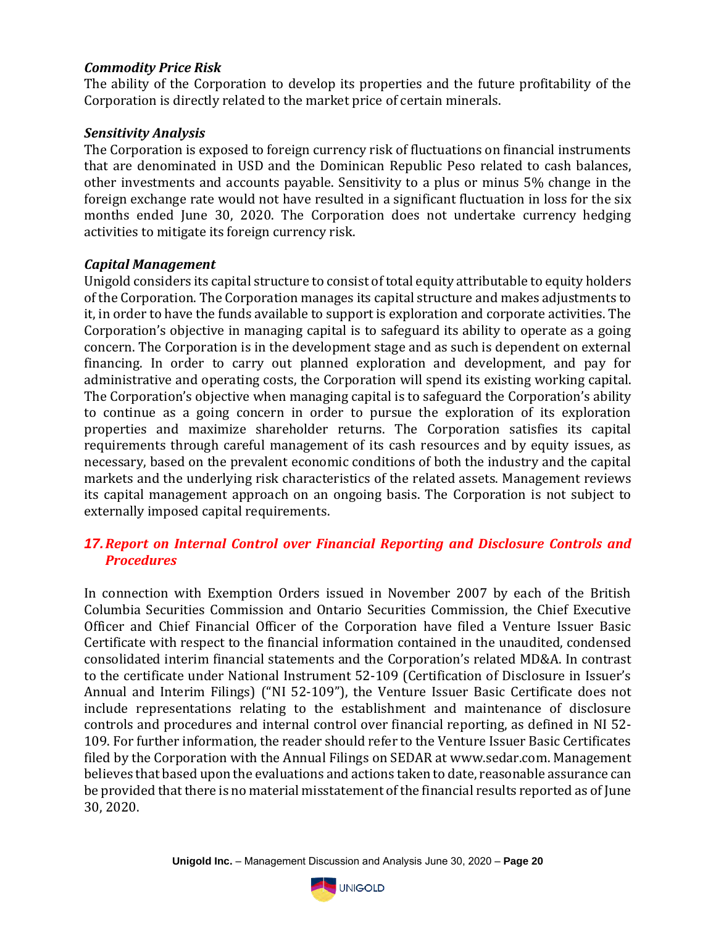## *Commodity Price Risk*

The ability of the Corporation to develop its properties and the future profitability of the Corporation is directly related to the market price of certain minerals.

## *Sensitivity Analysis*

The Corporation is exposed to foreign currency risk of fluctuations on financial instruments that are denominated in USD and the Dominican Republic Peso related to cash balances, other investments and accounts payable. Sensitivity to a plus or minus 5% change in the foreign exchange rate would not have resulted in a significant fluctuation in loss for the six months ended June 30, 2020. The Corporation does not undertake currency hedging activities to mitigate its foreign currency risk.

## *Capital Management*

Unigold considers its capital structure to consist of total equity attributable to equity holders of the Corporation. The Corporation manages its capital structure and makes adjustments to it, in order to have the funds available to support is exploration and corporate activities. The Corporation's objective in managing capital is to safeguard its ability to operate as a going concern. The Corporation is in the development stage and as such is dependent on external financing. In order to carry out planned exploration and development, and pay for administrative and operating costs, the Corporation will spend its existing working capital. The Corporation's objective when managing capital is to safeguard the Corporation's ability to continue as a going concern in order to pursue the exploration of its exploration properties and maximize shareholder returns. The Corporation satisfies its capital requirements through careful management of its cash resources and by equity issues, as necessary, based on the prevalent economic conditions of both the industry and the capital markets and the underlying risk characteristics of the related assets. Management reviews its capital management approach on an ongoing basis. The Corporation is not subject to externally imposed capital requirements.

# *17.Report on Internal Control over Financial Reporting and Disclosure Controls and Procedures*

In connection with Exemption Orders issued in November 2007 by each of the British Columbia Securities Commission and Ontario Securities Commission, the Chief Executive Officer and Chief Financial Officer of the Corporation have filed a Venture Issuer Basic Certificate with respect to the financial information contained in the unaudited, condensed consolidated interim financial statements and the Corporation's related MD&A. In contrast to the certificate under National Instrument 52-109 (Certification of Disclosure in Issuer's Annual and Interim Filings) ("NI 52-109"), the Venture Issuer Basic Certificate does not include representations relating to the establishment and maintenance of disclosure controls and procedures and internal control over financial reporting, as defined in NI 52- 109. For further information, the reader should refer to the Venture Issuer Basic Certificates filed by the Corporation with the Annual Filings on SEDAR at www.sedar.com. Management believes that based upon the evaluations and actions taken to date, reasonable assurance can be provided that there is no material misstatement of the financial results reported as of June 30, 2020.

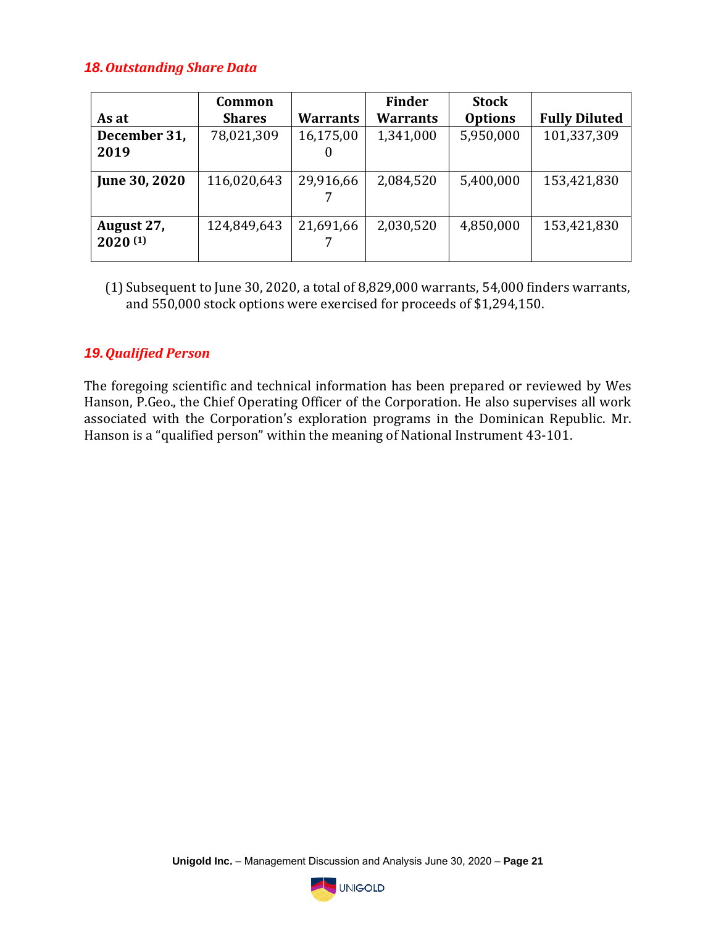## *18.Outstanding Share Data*

|               | Common        |                 | <b>Finder</b>   | <b>Stock</b>   |                      |
|---------------|---------------|-----------------|-----------------|----------------|----------------------|
| As at         | <b>Shares</b> | <b>Warrants</b> | <b>Warrants</b> | <b>Options</b> | <b>Fully Diluted</b> |
| December 31,  | 78,021,309    | 16,175,00       | 1,341,000       | 5,950,000      | 101,337,309          |
| 2019          |               |                 |                 |                |                      |
|               |               |                 |                 |                |                      |
| June 30, 2020 | 116,020,643   | 29,916,66       | 2,084,520       | 5,400,000      | 153,421,830          |
|               |               |                 |                 |                |                      |
| August 27,    | 124,849,643   | 21,691,66       | 2,030,520       | 4,850,000      | 153,421,830          |
| 2020(1)       |               |                 |                 |                |                      |
|               |               |                 |                 |                |                      |

(1) Subsequent to June 30, 2020, a total of 8,829,000 warrants, 54,000 finders warrants, and 550,000 stock options were exercised for proceeds of \$1,294,150.

## *19.Qualified Person*

The foregoing scientific and technical information has been prepared or reviewed by Wes Hanson, P.Geo., the Chief Operating Officer of the Corporation. He also supervises all work associated with the Corporation's exploration programs in the Dominican Republic. Mr. Hanson is a "qualified person" within the meaning of National Instrument 43-101.